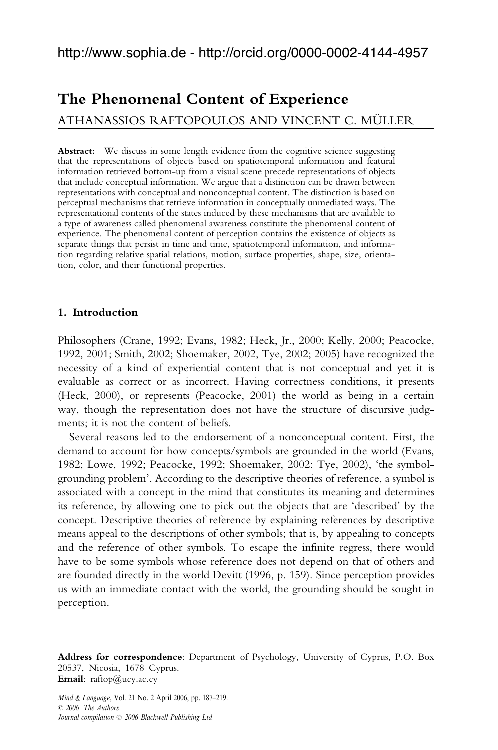# The Phenomenal Content of Experience

## ATHANASSIOS RAFTOPOULOS AND VINCENT C. MÜLLER

Abstract: We discuss in some length evidence from the cognitive science suggesting that the representations of objects based on spatiotemporal information and featural information retrieved bottom-up from a visual scene precede representations of objects that include conceptual information. We argue that a distinction can be drawn between representations with conceptual and nonconceptual content. The distinction is based on perceptual mechanisms that retrieve information in conceptually unmediated ways. The representational contents of the states induced by these mechanisms that are available to a type of awareness called phenomenal awareness constitute the phenomenal content of experience. The phenomenal content of perception contains the existence of objects as separate things that persist in time and time, spatiotemporal information, and information regarding relative spatial relations, motion, surface properties, shape, size, orientation, color, and their functional properties.

## 1. Introduction

Philosophers (Crane, 1992; Evans, 1982; Heck, Jr., 2000; Kelly, 2000; Peacocke, 1992, 2001; Smith, 2002; Shoemaker, 2002, Tye, 2002; 2005) have recognized the necessity of a kind of experiential content that is not conceptual and yet it is evaluable as correct or as incorrect. Having correctness conditions, it presents (Heck, 2000), or represents (Peacocke, 2001) the world as being in a certain way, though the representation does not have the structure of discursive judgments; it is not the content of beliefs.

Several reasons led to the endorsement of a nonconceptual content. First, the demand to account for how concepts/symbols are grounded in the world (Evans, 1982; Lowe, 1992; Peacocke, 1992; Shoemaker, 2002: Tye, 2002), 'the symbolgrounding problem'. According to the descriptive theories of reference, a symbol is associated with a concept in the mind that constitutes its meaning and determines its reference, by allowing one to pick out the objects that are 'described' by the concept. Descriptive theories of reference by explaining references by descriptive means appeal to the descriptions of other symbols; that is, by appealing to concepts and the reference of other symbols. To escape the infinite regress, there would have to be some symbols whose reference does not depend on that of others and are founded directly in the world Devitt (1996, p. 159). Since perception provides us with an immediate contact with the world, the grounding should be sought in perception.

Address for correspondence: Department of Psychology, University of Cyprus, P.O. Box 20537, Nicosia, 1678 Cyprus. Email: raftop@ucy.ac.cy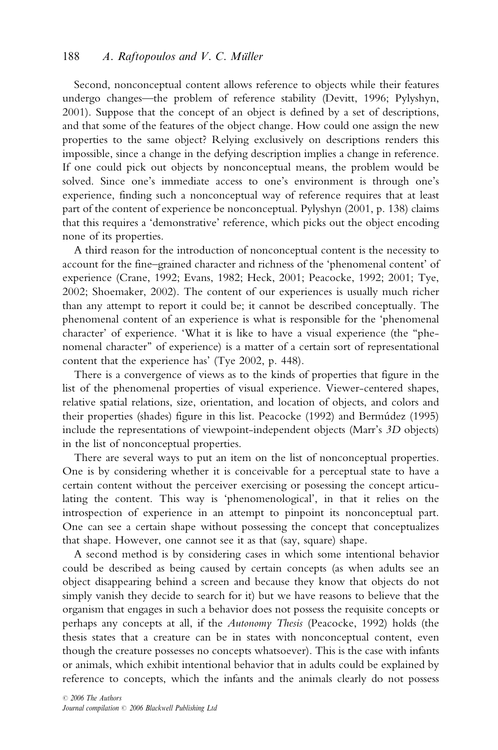## 188 A. Raftopoulos and V. C. Müller

Second, nonconceptual content allows reference to objects while their features undergo changes—the problem of reference stability (Devitt, 1996; Pylyshyn, 2001). Suppose that the concept of an object is defined by a set of descriptions, and that some of the features of the object change. How could one assign the new properties to the same object? Relying exclusively on descriptions renders this impossible, since a change in the defying description implies a change in reference. If one could pick out objects by nonconceptual means, the problem would be solved. Since one's immediate access to one's environment is through one's experience, finding such a nonconceptual way of reference requires that at least part of the content of experience be nonconceptual. Pylyshyn (2001, p. 138) claims that this requires a 'demonstrative' reference, which picks out the object encoding none of its properties.

A third reason for the introduction of nonconceptual content is the necessity to account for the fine–grained character and richness of the 'phenomenal content' of experience (Crane, 1992; Evans, 1982; Heck, 2001; Peacocke, 1992; 2001; Tye, 2002; Shoemaker, 2002). The content of our experiences is usually much richer than any attempt to report it could be; it cannot be described conceptually. The phenomenal content of an experience is what is responsible for the 'phenomenal character' of experience. 'What it is like to have a visual experience (the ''phenomenal character'' of experience) is a matter of a certain sort of representational content that the experience has' (Tye 2002, p. 448).

There is a convergence of views as to the kinds of properties that figure in the list of the phenomenal properties of visual experience. Viewer-centered shapes, relative spatial relations, size, orientation, and location of objects, and colors and their properties (shades) figure in this list. Peacocke (1992) and Bermúdez (1995) include the representations of viewpoint-independent objects (Marr's 3D objects) in the list of nonconceptual properties.

There are several ways to put an item on the list of nonconceptual properties. One is by considering whether it is conceivable for a perceptual state to have a certain content without the perceiver exercising or posessing the concept articulating the content. This way is 'phenomenological', in that it relies on the introspection of experience in an attempt to pinpoint its nonconceptual part. One can see a certain shape without possessing the concept that conceptualizes that shape. However, one cannot see it as that (say, square) shape.

A second method is by considering cases in which some intentional behavior could be described as being caused by certain concepts (as when adults see an object disappearing behind a screen and because they know that objects do not simply vanish they decide to search for it) but we have reasons to believe that the organism that engages in such a behavior does not possess the requisite concepts or perhaps any concepts at all, if the Autonomy Thesis (Peacocke, 1992) holds (the thesis states that a creature can be in states with nonconceptual content, even though the creature possesses no concepts whatsoever). This is the case with infants or animals, which exhibit intentional behavior that in adults could be explained by reference to concepts, which the infants and the animals clearly do not possess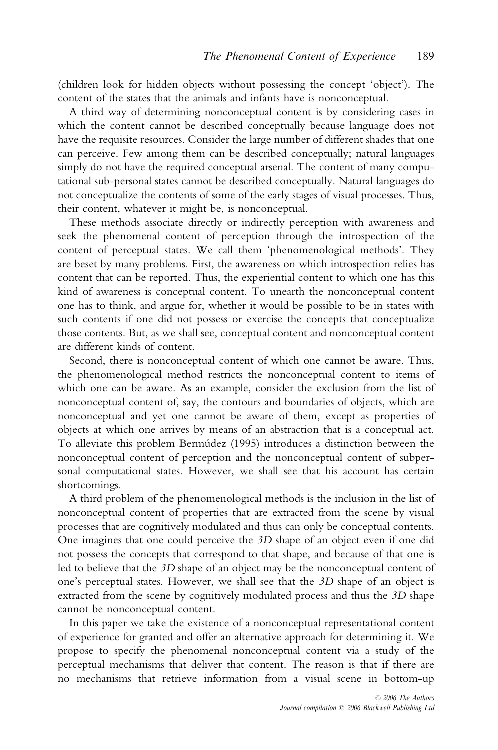(children look for hidden objects without possessing the concept 'object'). The content of the states that the animals and infants have is nonconceptual.

A third way of determining nonconceptual content is by considering cases in which the content cannot be described conceptually because language does not have the requisite resources. Consider the large number of different shades that one can perceive. Few among them can be described conceptually; natural languages simply do not have the required conceptual arsenal. The content of many computational sub-personal states cannot be described conceptually. Natural languages do not conceptualize the contents of some of the early stages of visual processes. Thus, their content, whatever it might be, is nonconceptual.

These methods associate directly or indirectly perception with awareness and seek the phenomenal content of perception through the introspection of the content of perceptual states. We call them 'phenomenological methods'. They are beset by many problems. First, the awareness on which introspection relies has content that can be reported. Thus, the experiential content to which one has this kind of awareness is conceptual content. To unearth the nonconceptual content one has to think, and argue for, whether it would be possible to be in states with such contents if one did not possess or exercise the concepts that conceptualize those contents. But, as we shall see, conceptual content and nonconceptual content are different kinds of content.

Second, there is nonconceptual content of which one cannot be aware. Thus, the phenomenological method restricts the nonconceptual content to items of which one can be aware. As an example, consider the exclusion from the list of nonconceptual content of, say, the contours and boundaries of objects, which are nonconceptual and yet one cannot be aware of them, except as properties of objects at which one arrives by means of an abstraction that is a conceptual act. To alleviate this problem Bermúdez (1995) introduces a distinction between the nonconceptual content of perception and the nonconceptual content of subpersonal computational states. However, we shall see that his account has certain shortcomings.

A third problem of the phenomenological methods is the inclusion in the list of nonconceptual content of properties that are extracted from the scene by visual processes that are cognitively modulated and thus can only be conceptual contents. One imagines that one could perceive the 3D shape of an object even if one did not possess the concepts that correspond to that shape, and because of that one is led to believe that the 3D shape of an object may be the nonconceptual content of one's perceptual states. However, we shall see that the 3D shape of an object is extracted from the scene by cognitively modulated process and thus the 3D shape cannot be nonconceptual content.

In this paper we take the existence of a nonconceptual representational content of experience for granted and offer an alternative approach for determining it. We propose to specify the phenomenal nonconceptual content via a study of the perceptual mechanisms that deliver that content. The reason is that if there are no mechanisms that retrieve information from a visual scene in bottom-up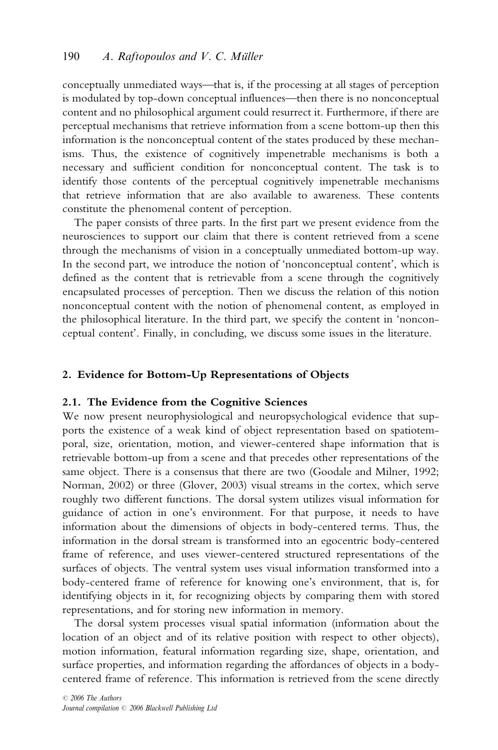conceptually unmediated ways—that is, if the processing at all stages of perception is modulated by top-down conceptual influences—then there is no nonconceptual content and no philosophical argument could resurrect it. Furthermore, if there are perceptual mechanisms that retrieve information from a scene bottom-up then this information is the nonconceptual content of the states produced by these mechanisms. Thus, the existence of cognitively impenetrable mechanisms is both a necessary and sufficient condition for nonconceptual content. The task is to identify those contents of the perceptual cognitively impenetrable mechanisms that retrieve information that are also available to awareness. These contents constitute the phenomenal content of perception.

The paper consists of three parts. In the first part we present evidence from the neurosciences to support our claim that there is content retrieved from a scene through the mechanisms of vision in a conceptually unmediated bottom-up way. In the second part, we introduce the notion of 'nonconceptual content', which is defined as the content that is retrievable from a scene through the cognitively encapsulated processes of perception. Then we discuss the relation of this notion nonconceptual content with the notion of phenomenal content, as employed in the philosophical literature. In the third part, we specify the content in 'nonconceptual content'. Finally, in concluding, we discuss some issues in the literature.

## 2. Evidence for Bottom-Up Representations of Objects

## 2.1. The Evidence from the Cognitive Sciences

We now present neurophysiological and neuropsychological evidence that supports the existence of a weak kind of object representation based on spatiotemporal, size, orientation, motion, and viewer-centered shape information that is retrievable bottom-up from a scene and that precedes other representations of the same object. There is a consensus that there are two (Goodale and Milner, 1992; Norman, 2002) or three (Glover, 2003) visual streams in the cortex, which serve roughly two different functions. The dorsal system utilizes visual information for guidance of action in one's environment. For that purpose, it needs to have information about the dimensions of objects in body-centered terms. Thus, the information in the dorsal stream is transformed into an egocentric body-centered frame of reference, and uses viewer-centered structured representations of the surfaces of objects. The ventral system uses visual information transformed into a body-centered frame of reference for knowing one's environment, that is, for identifying objects in it, for recognizing objects by comparing them with stored representations, and for storing new information in memory.

The dorsal system processes visual spatial information (information about the location of an object and of its relative position with respect to other objects), motion information, featural information regarding size, shape, orientation, and surface properties, and information regarding the affordances of objects in a bodycentered frame of reference. This information is retrieved from the scene directly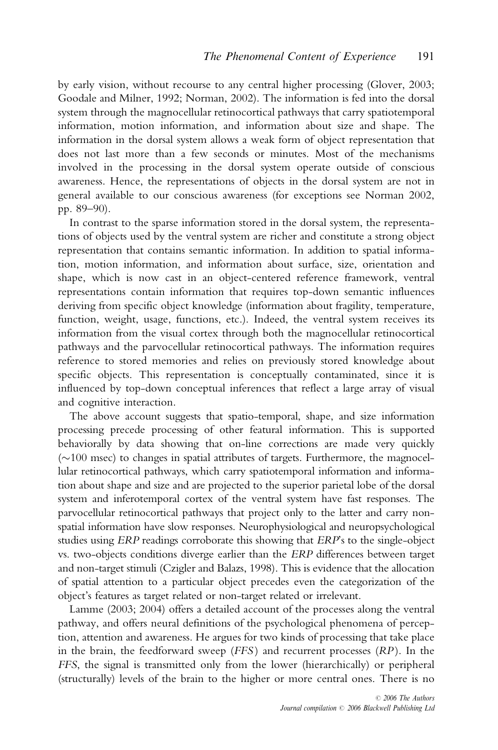by early vision, without recourse to any central higher processing (Glover, 2003; Goodale and Milner, 1992; Norman, 2002). The information is fed into the dorsal system through the magnocellular retinocortical pathways that carry spatiotemporal information, motion information, and information about size and shape. The information in the dorsal system allows a weak form of object representation that does not last more than a few seconds or minutes. Most of the mechanisms involved in the processing in the dorsal system operate outside of conscious awareness. Hence, the representations of objects in the dorsal system are not in general available to our conscious awareness (for exceptions see Norman 2002, pp. 89–90).

In contrast to the sparse information stored in the dorsal system, the representations of objects used by the ventral system are richer and constitute a strong object representation that contains semantic information. In addition to spatial information, motion information, and information about surface, size, orientation and shape, which is now cast in an object-centered reference framework, ventral representations contain information that requires top-down semantic influences deriving from specific object knowledge (information about fragility, temperature, function, weight, usage, functions, etc.). Indeed, the ventral system receives its information from the visual cortex through both the magnocellular retinocortical pathways and the parvocellular retinocortical pathways. The information requires reference to stored memories and relies on previously stored knowledge about specific objects. This representation is conceptually contaminated, since it is influenced by top-down conceptual inferences that reflect a large array of visual and cognitive interaction.

The above account suggests that spatio-temporal, shape, and size information processing precede processing of other featural information. This is supported behaviorally by data showing that on-line corrections are made very quickly  $(\sim]100$  msec) to changes in spatial attributes of targets. Furthermore, the magnocellular retinocortical pathways, which carry spatiotemporal information and information about shape and size and are projected to the superior parietal lobe of the dorsal system and inferotemporal cortex of the ventral system have fast responses. The parvocellular retinocortical pathways that project only to the latter and carry nonspatial information have slow responses. Neurophysiological and neuropsychological studies using ERP readings corroborate this showing that ERP's to the single-object vs. two-objects conditions diverge earlier than the ERP differences between target and non-target stimuli (Czigler and Balazs, 1998). This is evidence that the allocation of spatial attention to a particular object precedes even the categorization of the object's features as target related or non-target related or irrelevant.

Lamme (2003; 2004) offers a detailed account of the processes along the ventral pathway, and offers neural definitions of the psychological phenomena of perception, attention and awareness. He argues for two kinds of processing that take place in the brain, the feedforward sweep  $(FFS)$  and recurrent processes  $(RP)$ . In the FFS, the signal is transmitted only from the lower (hierarchically) or peripheral (structurally) levels of the brain to the higher or more central ones. There is no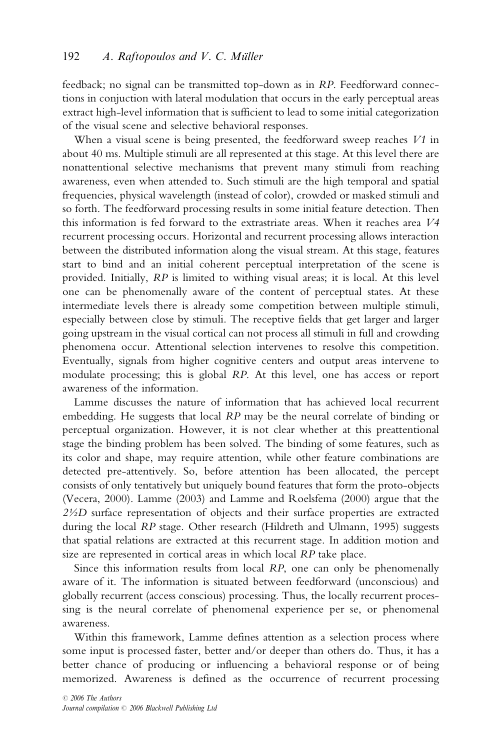feedback; no signal can be transmitted top-down as in RP. Feedforward connections in conjuction with lateral modulation that occurs in the early perceptual areas extract high-level information that is sufficient to lead to some initial categorization of the visual scene and selective behavioral responses.

When a visual scene is being presented, the feedforward sweep reaches V1 in about 40 ms. Multiple stimuli are all represented at this stage. At this level there are nonattentional selective mechanisms that prevent many stimuli from reaching awareness, even when attended to. Such stimuli are the high temporal and spatial frequencies, physical wavelength (instead of color), crowded or masked stimuli and so forth. The feedforward processing results in some initial feature detection. Then this information is fed forward to the extrastriate areas. When it reaches area V4 recurrent processing occurs. Horizontal and recurrent processing allows interaction between the distributed information along the visual stream. At this stage, features start to bind and an initial coherent perceptual interpretation of the scene is provided. Initially, RP is limited to withing visual areas; it is local. At this level one can be phenomenally aware of the content of perceptual states. At these intermediate levels there is already some competition between multiple stimuli, especially between close by stimuli. The receptive fields that get larger and larger going upstream in the visual cortical can not process all stimuli in full and crowding phenomena occur. Attentional selection intervenes to resolve this competition. Eventually, signals from higher cognitive centers and output areas intervene to modulate processing; this is global RP. At this level, one has access or report awareness of the information.

Lamme discusses the nature of information that has achieved local recurrent embedding. He suggests that local RP may be the neural correlate of binding or perceptual organization. However, it is not clear whether at this preattentional stage the binding problem has been solved. The binding of some features, such as its color and shape, may require attention, while other feature combinations are detected pre-attentively. So, before attention has been allocated, the percept consists of only tentatively but uniquely bound features that form the proto-objects (Vecera, 2000). Lamme (2003) and Lamme and Roelsfema (2000) argue that the 2½D surface representation of objects and their surface properties are extracted during the local RP stage. Other research (Hildreth and Ulmann, 1995) suggests that spatial relations are extracted at this recurrent stage. In addition motion and size are represented in cortical areas in which local RP take place.

Since this information results from local RP, one can only be phenomenally aware of it. The information is situated between feedforward (unconscious) and globally recurrent (access conscious) processing. Thus, the locally recurrent processing is the neural correlate of phenomenal experience per se, or phenomenal awareness.

Within this framework, Lamme defines attention as a selection process where some input is processed faster, better and/or deeper than others do. Thus, it has a better chance of producing or influencing a behavioral response or of being memorized. Awareness is defined as the occurrence of recurrent processing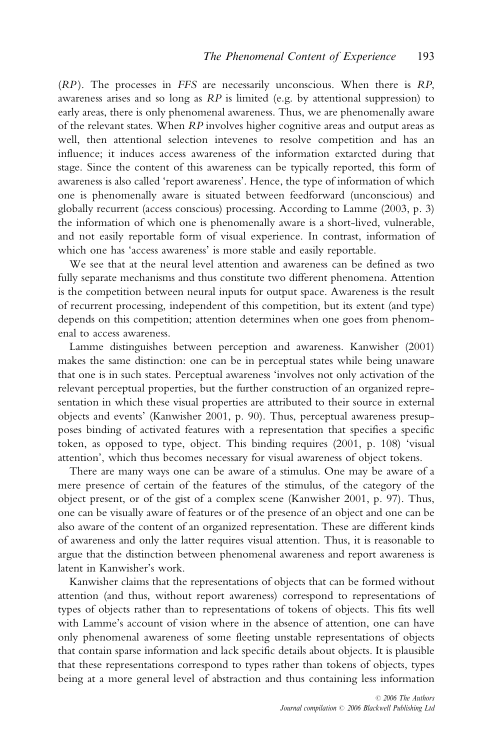$(RP)$ . The processes in FFS are necessarily unconscious. When there is RP, awareness arises and so long as RP is limited (e.g. by attentional suppression) to early areas, there is only phenomenal awareness. Thus, we are phenomenally aware of the relevant states. When RP involves higher cognitive areas and output areas as well, then attentional selection intevenes to resolve competition and has an influence; it induces access awareness of the information extarcted during that stage. Since the content of this awareness can be typically reported, this form of awareness is also called 'report awareness'. Hence, the type of information of which one is phenomenally aware is situated between feedforward (unconscious) and globally recurrent (access conscious) processing. According to Lamme (2003, p. 3) the information of which one is phenomenally aware is a short-lived, vulnerable, and not easily reportable form of visual experience. In contrast, information of which one has 'access awareness' is more stable and easily reportable.

We see that at the neural level attention and awareness can be defined as two fully separate mechanisms and thus constitute two different phenomena. Attention is the competition between neural inputs for output space. Awareness is the result of recurrent processing, independent of this competition, but its extent (and type) depends on this competition; attention determines when one goes from phenomenal to access awareness.

Lamme distinguishes between perception and awareness. Kanwisher (2001) makes the same distinction: one can be in perceptual states while being unaware that one is in such states. Perceptual awareness 'involves not only activation of the relevant perceptual properties, but the further construction of an organized representation in which these visual properties are attributed to their source in external objects and events' (Kanwisher 2001, p. 90). Thus, perceptual awareness presupposes binding of activated features with a representation that specifies a specific token, as opposed to type, object. This binding requires (2001, p. 108) 'visual attention', which thus becomes necessary for visual awareness of object tokens.

There are many ways one can be aware of a stimulus. One may be aware of a mere presence of certain of the features of the stimulus, of the category of the object present, or of the gist of a complex scene (Kanwisher 2001, p. 97). Thus, one can be visually aware of features or of the presence of an object and one can be also aware of the content of an organized representation. These are different kinds of awareness and only the latter requires visual attention. Thus, it is reasonable to argue that the distinction between phenomenal awareness and report awareness is latent in Kanwisher's work.

Kanwisher claims that the representations of objects that can be formed without attention (and thus, without report awareness) correspond to representations of types of objects rather than to representations of tokens of objects. This fits well with Lamme's account of vision where in the absence of attention, one can have only phenomenal awareness of some fleeting unstable representations of objects that contain sparse information and lack specific details about objects. It is plausible that these representations correspond to types rather than tokens of objects, types being at a more general level of abstraction and thus containing less information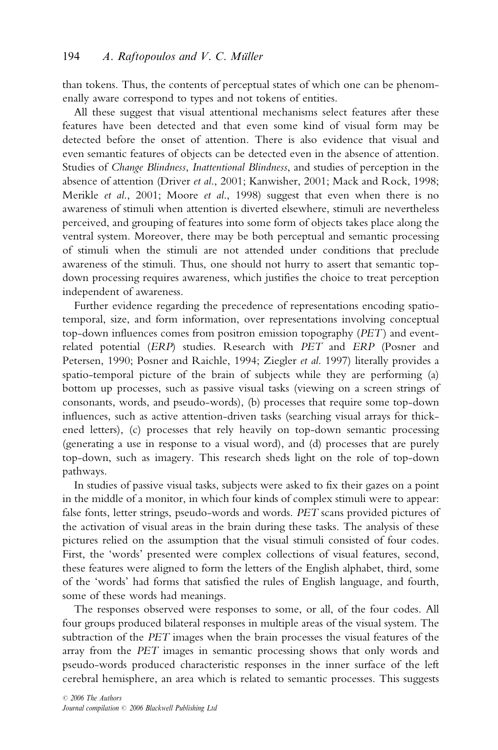than tokens. Thus, the contents of perceptual states of which one can be phenomenally aware correspond to types and not tokens of entities.

All these suggest that visual attentional mechanisms select features after these features have been detected and that even some kind of visual form may be detected before the onset of attention. There is also evidence that visual and even semantic features of objects can be detected even in the absence of attention. Studies of Change Blindness, Inattentional Blindness, and studies of perception in the absence of attention (Driver et al., 2001; Kanwisher, 2001; Mack and Rock, 1998; Merikle et al., 2001; Moore et al., 1998) suggest that even when there is no awareness of stimuli when attention is diverted elsewhere, stimuli are nevertheless perceived, and grouping of features into some form of objects takes place along the ventral system. Moreover, there may be both perceptual and semantic processing of stimuli when the stimuli are not attended under conditions that preclude awareness of the stimuli. Thus, one should not hurry to assert that semantic topdown processing requires awareness, which justifies the choice to treat perception independent of awareness.

Further evidence regarding the precedence of representations encoding spatiotemporal, size, and form information, over representations involving conceptual top-down influences comes from positron emission topography (PET) and eventrelated potential (ERP) studies. Research with PET and ERP (Posner and Petersen, 1990; Posner and Raichle, 1994; Ziegler et al. 1997) literally provides a spatio-temporal picture of the brain of subjects while they are performing (a) bottom up processes, such as passive visual tasks (viewing on a screen strings of consonants, words, and pseudo-words), (b) processes that require some top-down influences, such as active attention-driven tasks (searching visual arrays for thickened letters), (c) processes that rely heavily on top-down semantic processing (generating a use in response to a visual word), and (d) processes that are purely top-down, such as imagery. This research sheds light on the role of top-down pathways.

In studies of passive visual tasks, subjects were asked to fix their gazes on a point in the middle of a monitor, in which four kinds of complex stimuli were to appear: false fonts, letter strings, pseudo-words and words. PET scans provided pictures of the activation of visual areas in the brain during these tasks. The analysis of these pictures relied on the assumption that the visual stimuli consisted of four codes. First, the 'words' presented were complex collections of visual features, second, these features were aligned to form the letters of the English alphabet, third, some of the 'words' had forms that satisfied the rules of English language, and fourth, some of these words had meanings.

The responses observed were responses to some, or all, of the four codes. All four groups produced bilateral responses in multiple areas of the visual system. The subtraction of the PET images when the brain processes the visual features of the array from the PET images in semantic processing shows that only words and pseudo-words produced characteristic responses in the inner surface of the left cerebral hemisphere, an area which is related to semantic processes. This suggests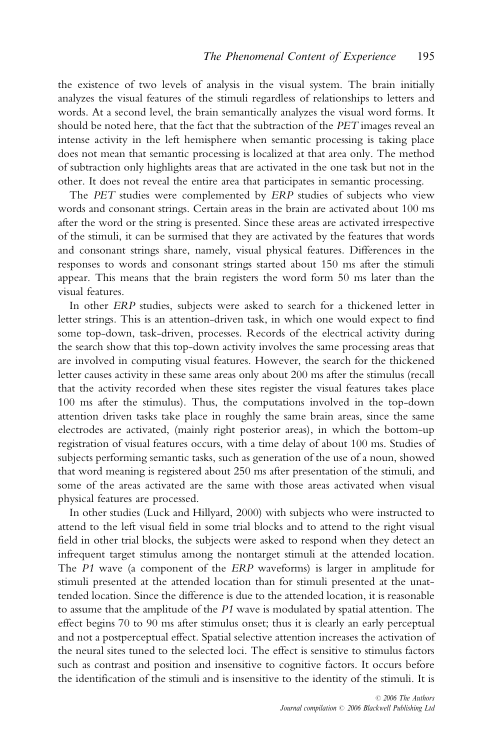the existence of two levels of analysis in the visual system. The brain initially analyzes the visual features of the stimuli regardless of relationships to letters and words. At a second level, the brain semantically analyzes the visual word forms. It should be noted here, that the fact that the subtraction of the PET images reveal an intense activity in the left hemisphere when semantic processing is taking place does not mean that semantic processing is localized at that area only. The method of subtraction only highlights areas that are activated in the one task but not in the other. It does not reveal the entire area that participates in semantic processing.

The PET studies were complemented by ERP studies of subjects who view words and consonant strings. Certain areas in the brain are activated about 100 ms after the word or the string is presented. Since these areas are activated irrespective of the stimuli, it can be surmised that they are activated by the features that words and consonant strings share, namely, visual physical features. Differences in the responses to words and consonant strings started about 150 ms after the stimuli appear. This means that the brain registers the word form 50 ms later than the visual features.

In other ERP studies, subjects were asked to search for a thickened letter in letter strings. This is an attention-driven task, in which one would expect to find some top-down, task-driven, processes. Records of the electrical activity during the search show that this top-down activity involves the same processing areas that are involved in computing visual features. However, the search for the thickened letter causes activity in these same areas only about 200 ms after the stimulus (recall that the activity recorded when these sites register the visual features takes place 100 ms after the stimulus). Thus, the computations involved in the top-down attention driven tasks take place in roughly the same brain areas, since the same electrodes are activated, (mainly right posterior areas), in which the bottom-up registration of visual features occurs, with a time delay of about 100 ms. Studies of subjects performing semantic tasks, such as generation of the use of a noun, showed that word meaning is registered about 250 ms after presentation of the stimuli, and some of the areas activated are the same with those areas activated when visual physical features are processed.

In other studies (Luck and Hillyard, 2000) with subjects who were instructed to attend to the left visual field in some trial blocks and to attend to the right visual field in other trial blocks, the subjects were asked to respond when they detect an infrequent target stimulus among the nontarget stimuli at the attended location. The P1 wave (a component of the ERP waveforms) is larger in amplitude for stimuli presented at the attended location than for stimuli presented at the unattended location. Since the difference is due to the attended location, it is reasonable to assume that the amplitude of the P1 wave is modulated by spatial attention. The effect begins 70 to 90 ms after stimulus onset; thus it is clearly an early perceptual and not a postperceptual effect. Spatial selective attention increases the activation of the neural sites tuned to the selected loci. The effect is sensitive to stimulus factors such as contrast and position and insensitive to cognitive factors. It occurs before the identification of the stimuli and is insensitive to the identity of the stimuli. It is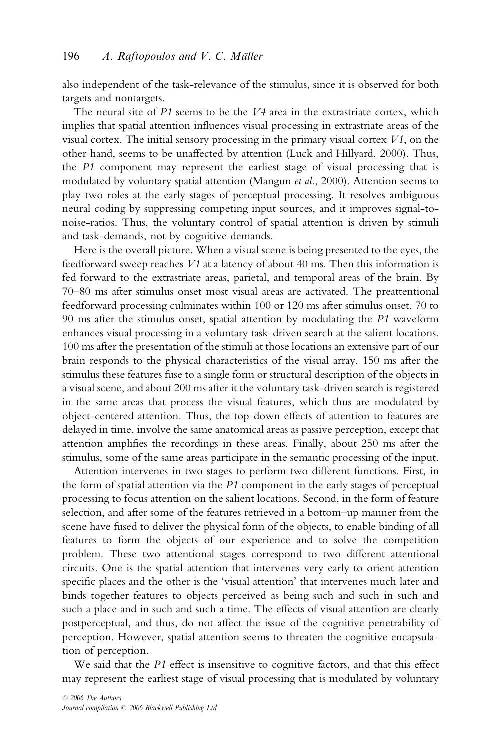also independent of the task-relevance of the stimulus, since it is observed for both targets and nontargets.

The neural site of P1 seems to be the V4 area in the extrastriate cortex, which implies that spatial attention influences visual processing in extrastriate areas of the visual cortex. The initial sensory processing in the primary visual cortex  $V1$ , on the other hand, seems to be unaffected by attention (Luck and Hillyard, 2000). Thus, the P1 component may represent the earliest stage of visual processing that is modulated by voluntary spatial attention (Mangun et al., 2000). Attention seems to play two roles at the early stages of perceptual processing. It resolves ambiguous neural coding by suppressing competing input sources, and it improves signal-tonoise-ratios. Thus, the voluntary control of spatial attention is driven by stimuli and task-demands, not by cognitive demands.

Here is the overall picture. When a visual scene is being presented to the eyes, the feedforward sweep reaches V1 at a latency of about 40 ms. Then this information is fed forward to the extrastriate areas, parietal, and temporal areas of the brain. By 70–80 ms after stimulus onset most visual areas are activated. The preattentional feedforward processing culminates within 100 or 120 ms after stimulus onset. 70 to 90 ms after the stimulus onset, spatial attention by modulating the P1 waveform enhances visual processing in a voluntary task-driven search at the salient locations. 100 ms after the presentation of the stimuli at those locations an extensive part of our brain responds to the physical characteristics of the visual array. 150 ms after the stimulus these features fuse to a single form or structural description of the objects in a visual scene, and about 200 ms after it the voluntary task-driven search is registered in the same areas that process the visual features, which thus are modulated by object-centered attention. Thus, the top-down effects of attention to features are delayed in time, involve the same anatomical areas as passive perception, except that attention amplifies the recordings in these areas. Finally, about 250 ms after the stimulus, some of the same areas participate in the semantic processing of the input.

Attention intervenes in two stages to perform two different functions. First, in the form of spatial attention via the P1 component in the early stages of perceptual processing to focus attention on the salient locations. Second, in the form of feature selection, and after some of the features retrieved in a bottom–up manner from the scene have fused to deliver the physical form of the objects, to enable binding of all features to form the objects of our experience and to solve the competition problem. These two attentional stages correspond to two different attentional circuits. One is the spatial attention that intervenes very early to orient attention specific places and the other is the 'visual attention' that intervenes much later and binds together features to objects perceived as being such and such in such and such a place and in such and such a time. The effects of visual attention are clearly postperceptual, and thus, do not affect the issue of the cognitive penetrability of perception. However, spatial attention seems to threaten the cognitive encapsulation of perception.

We said that the P1 effect is insensitive to cognitive factors, and that this effect may represent the earliest stage of visual processing that is modulated by voluntary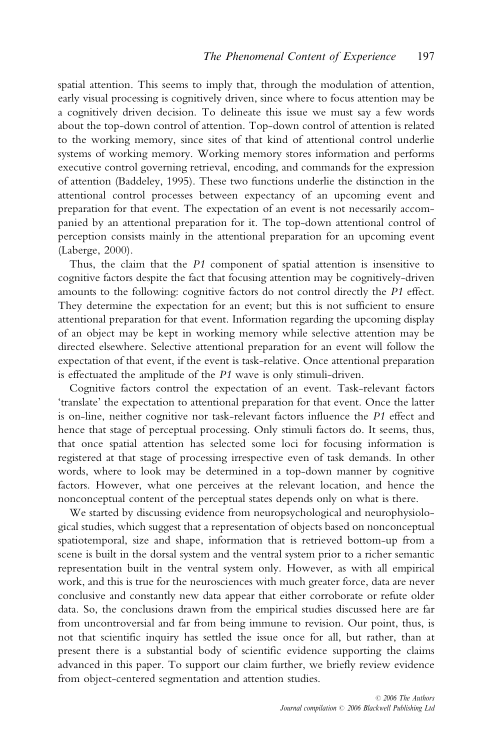spatial attention. This seems to imply that, through the modulation of attention, early visual processing is cognitively driven, since where to focus attention may be a cognitively driven decision. To delineate this issue we must say a few words about the top-down control of attention. Top-down control of attention is related to the working memory, since sites of that kind of attentional control underlie systems of working memory. Working memory stores information and performs executive control governing retrieval, encoding, and commands for the expression of attention (Baddeley, 1995). These two functions underlie the distinction in the attentional control processes between expectancy of an upcoming event and preparation for that event. The expectation of an event is not necessarily accompanied by an attentional preparation for it. The top-down attentional control of perception consists mainly in the attentional preparation for an upcoming event (Laberge, 2000).

Thus, the claim that the P1 component of spatial attention is insensitive to cognitive factors despite the fact that focusing attention may be cognitively-driven amounts to the following: cognitive factors do not control directly the P1 effect. They determine the expectation for an event; but this is not sufficient to ensure attentional preparation for that event. Information regarding the upcoming display of an object may be kept in working memory while selective attention may be directed elsewhere. Selective attentional preparation for an event will follow the expectation of that event, if the event is task-relative. Once attentional preparation is effectuated the amplitude of the P1 wave is only stimuli-driven.

Cognitive factors control the expectation of an event. Task-relevant factors 'translate' the expectation to attentional preparation for that event. Once the latter is on-line, neither cognitive nor task-relevant factors influence the P1 effect and hence that stage of perceptual processing. Only stimuli factors do. It seems, thus, that once spatial attention has selected some loci for focusing information is registered at that stage of processing irrespective even of task demands. In other words, where to look may be determined in a top-down manner by cognitive factors. However, what one perceives at the relevant location, and hence the nonconceptual content of the perceptual states depends only on what is there.

We started by discussing evidence from neuropsychological and neurophysiological studies, which suggest that a representation of objects based on nonconceptual spatiotemporal, size and shape, information that is retrieved bottom-up from a scene is built in the dorsal system and the ventral system prior to a richer semantic representation built in the ventral system only. However, as with all empirical work, and this is true for the neurosciences with much greater force, data are never conclusive and constantly new data appear that either corroborate or refute older data. So, the conclusions drawn from the empirical studies discussed here are far from uncontroversial and far from being immune to revision. Our point, thus, is not that scientific inquiry has settled the issue once for all, but rather, than at present there is a substantial body of scientific evidence supporting the claims advanced in this paper. To support our claim further, we briefly review evidence from object-centered segmentation and attention studies.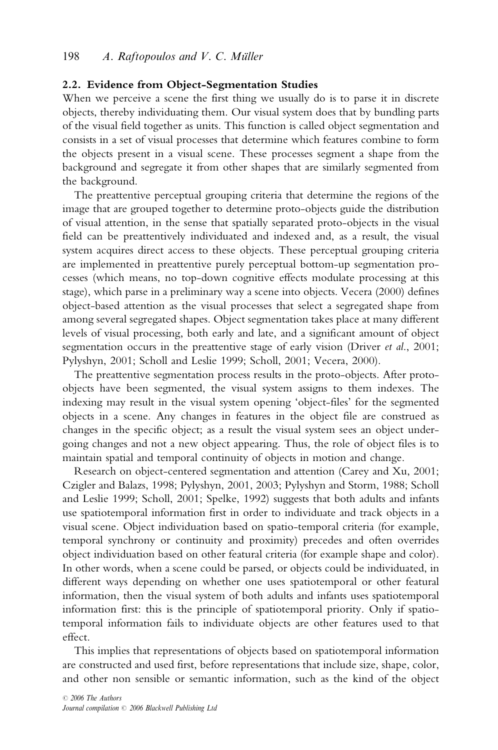## 198 A. Raftopoulos and V. C. Müller

#### 2.2. Evidence from Object-Segmentation Studies

When we perceive a scene the first thing we usually do is to parse it in discrete objects, thereby individuating them. Our visual system does that by bundling parts of the visual field together as units. This function is called object segmentation and consists in a set of visual processes that determine which features combine to form the objects present in a visual scene. These processes segment a shape from the background and segregate it from other shapes that are similarly segmented from the background.

The preattentive perceptual grouping criteria that determine the regions of the image that are grouped together to determine proto-objects guide the distribution of visual attention, in the sense that spatially separated proto-objects in the visual field can be preattentively individuated and indexed and, as a result, the visual system acquires direct access to these objects. These perceptual grouping criteria are implemented in preattentive purely perceptual bottom-up segmentation processes (which means, no top-down cognitive effects modulate processing at this stage), which parse in a preliminary way a scene into objects. Vecera (2000) defines object-based attention as the visual processes that select a segregated shape from among several segregated shapes. Object segmentation takes place at many different levels of visual processing, both early and late, and a significant amount of object segmentation occurs in the preattentive stage of early vision (Driver et al., 2001; Pylyshyn, 2001; Scholl and Leslie 1999; Scholl, 2001; Vecera, 2000).

The preattentive segmentation process results in the proto-objects. After protoobjects have been segmented, the visual system assigns to them indexes. The indexing may result in the visual system opening 'object-files' for the segmented objects in a scene. Any changes in features in the object file are construed as changes in the specific object; as a result the visual system sees an object undergoing changes and not a new object appearing. Thus, the role of object files is to maintain spatial and temporal continuity of objects in motion and change.

Research on object-centered segmentation and attention (Carey and Xu, 2001; Czigler and Balazs, 1998; Pylyshyn, 2001, 2003; Pylyshyn and Storm, 1988; Scholl and Leslie 1999; Scholl, 2001; Spelke, 1992) suggests that both adults and infants use spatiotemporal information first in order to individuate and track objects in a visual scene. Object individuation based on spatio-temporal criteria (for example, temporal synchrony or continuity and proximity) precedes and often overrides object individuation based on other featural criteria (for example shape and color). In other words, when a scene could be parsed, or objects could be individuated, in different ways depending on whether one uses spatiotemporal or other featural information, then the visual system of both adults and infants uses spatiotemporal information first: this is the principle of spatiotemporal priority. Only if spatiotemporal information fails to individuate objects are other features used to that effect.

This implies that representations of objects based on spatiotemporal information are constructed and used first, before representations that include size, shape, color, and other non sensible or semantic information, such as the kind of the object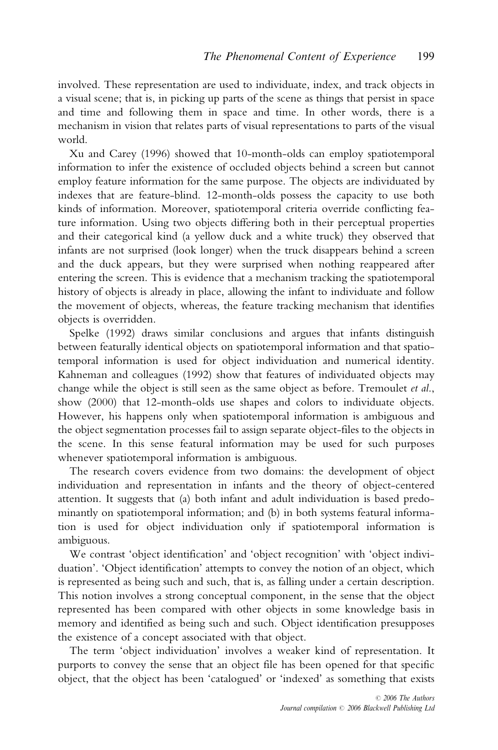involved. These representation are used to individuate, index, and track objects in a visual scene; that is, in picking up parts of the scene as things that persist in space and time and following them in space and time. In other words, there is a mechanism in vision that relates parts of visual representations to parts of the visual world.

Xu and Carey (1996) showed that 10-month-olds can employ spatiotemporal information to infer the existence of occluded objects behind a screen but cannot employ feature information for the same purpose. The objects are individuated by indexes that are feature-blind. 12-month-olds possess the capacity to use both kinds of information. Moreover, spatiotemporal criteria override conflicting feature information. Using two objects differing both in their perceptual properties and their categorical kind (a yellow duck and a white truck) they observed that infants are not surprised (look longer) when the truck disappears behind a screen and the duck appears, but they were surprised when nothing reappeared after entering the screen. This is evidence that a mechanism tracking the spatiotemporal history of objects is already in place, allowing the infant to individuate and follow the movement of objects, whereas, the feature tracking mechanism that identifies objects is overridden.

Spelke (1992) draws similar conclusions and argues that infants distinguish between featurally identical objects on spatiotemporal information and that spatiotemporal information is used for object individuation and numerical identity. Kahneman and colleagues (1992) show that features of individuated objects may change while the object is still seen as the same object as before. Tremoulet *et al.*, show (2000) that 12-month-olds use shapes and colors to individuate objects. However, his happens only when spatiotemporal information is ambiguous and the object segmentation processes fail to assign separate object-files to the objects in the scene. In this sense featural information may be used for such purposes whenever spatiotemporal information is ambiguous.

The research covers evidence from two domains: the development of object individuation and representation in infants and the theory of object-centered attention. It suggests that (a) both infant and adult individuation is based predominantly on spatiotemporal information; and (b) in both systems featural information is used for object individuation only if spatiotemporal information is ambiguous.

We contrast 'object identification' and 'object recognition' with 'object individuation'. 'Object identification' attempts to convey the notion of an object, which is represented as being such and such, that is, as falling under a certain description. This notion involves a strong conceptual component, in the sense that the object represented has been compared with other objects in some knowledge basis in memory and identified as being such and such. Object identification presupposes the existence of a concept associated with that object.

The term 'object individuation' involves a weaker kind of representation. It purports to convey the sense that an object file has been opened for that specific object, that the object has been 'catalogued' or 'indexed' as something that exists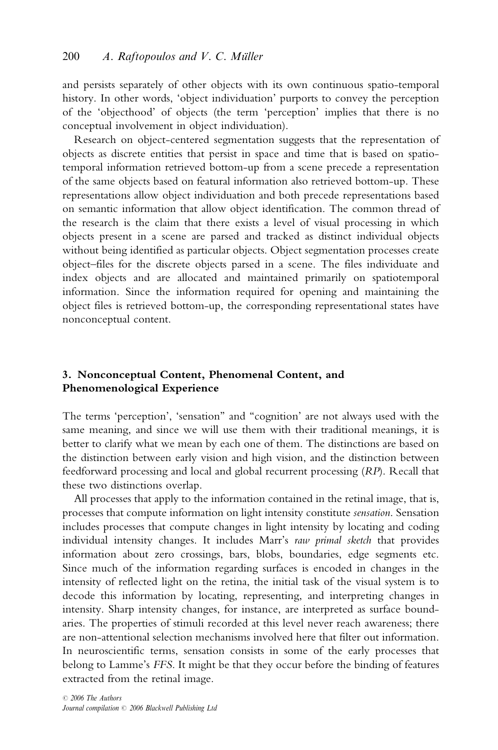and persists separately of other objects with its own continuous spatio-temporal history. In other words, 'object individuation' purports to convey the perception of the 'objecthood' of objects (the term 'perception' implies that there is no conceptual involvement in object individuation).

Research on object-centered segmentation suggests that the representation of objects as discrete entities that persist in space and time that is based on spatiotemporal information retrieved bottom-up from a scene precede a representation of the same objects based on featural information also retrieved bottom-up. These representations allow object individuation and both precede representations based on semantic information that allow object identification. The common thread of the research is the claim that there exists a level of visual processing in which objects present in a scene are parsed and tracked as distinct individual objects without being identified as particular objects. Object segmentation processes create object–files for the discrete objects parsed in a scene. The files individuate and index objects and are allocated and maintained primarily on spatiotemporal information. Since the information required for opening and maintaining the object files is retrieved bottom-up, the corresponding representational states have nonconceptual content.

# 3. Nonconceptual Content, Phenomenal Content, and Phenomenological Experience

The terms 'perception', 'sensation'' and ''cognition' are not always used with the same meaning, and since we will use them with their traditional meanings, it is better to clarify what we mean by each one of them. The distinctions are based on the distinction between early vision and high vision, and the distinction between feedforward processing and local and global recurrent processing (RP). Recall that these two distinctions overlap.

All processes that apply to the information contained in the retinal image, that is, processes that compute information on light intensity constitute sensation. Sensation includes processes that compute changes in light intensity by locating and coding individual intensity changes. It includes Marr's raw primal sketch that provides information about zero crossings, bars, blobs, boundaries, edge segments etc. Since much of the information regarding surfaces is encoded in changes in the intensity of reflected light on the retina, the initial task of the visual system is to decode this information by locating, representing, and interpreting changes in intensity. Sharp intensity changes, for instance, are interpreted as surface boundaries. The properties of stimuli recorded at this level never reach awareness; there are non-attentional selection mechanisms involved here that filter out information. In neuroscientific terms, sensation consists in some of the early processes that belong to Lamme's FFS. It might be that they occur before the binding of features extracted from the retinal image.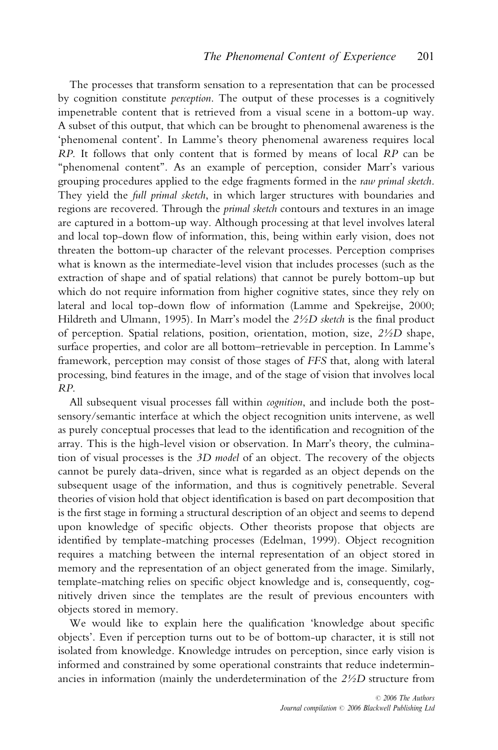The processes that transform sensation to a representation that can be processed by cognition constitute perception. The output of these processes is a cognitively impenetrable content that is retrieved from a visual scene in a bottom-up way. A subset of this output, that which can be brought to phenomenal awareness is the 'phenomenal content'. In Lamme's theory phenomenal awareness requires local RP. It follows that only content that is formed by means of local RP can be ''phenomenal content''. As an example of perception, consider Marr's various grouping procedures applied to the edge fragments formed in the raw primal sketch. They yield the *full primal sketch*, in which larger structures with boundaries and regions are recovered. Through the *primal sketch* contours and textures in an image are captured in a bottom-up way. Although processing at that level involves lateral and local top-down flow of information, this, being within early vision, does not threaten the bottom-up character of the relevant processes. Perception comprises what is known as the intermediate-level vision that includes processes (such as the extraction of shape and of spatial relations) that cannot be purely bottom-up but which do not require information from higher cognitive states, since they rely on lateral and local top-down flow of information (Lamme and Spekreijse, 2000; Hildreth and Ulmann, 1995). In Marr's model the  $2\frac{1}{2}D$  sketch is the final product of perception. Spatial relations, position, orientation, motion, size, 2½D shape, surface properties, and color are all bottom–retrievable in perception. In Lamme's framework, perception may consist of those stages of FFS that, along with lateral processing, bind features in the image, and of the stage of vision that involves local RP.

All subsequent visual processes fall within *cognition*, and include both the postsensory/semantic interface at which the object recognition units intervene, as well as purely conceptual processes that lead to the identification and recognition of the array. This is the high-level vision or observation. In Marr's theory, the culmination of visual processes is the 3D model of an object. The recovery of the objects cannot be purely data-driven, since what is regarded as an object depends on the subsequent usage of the information, and thus is cognitively penetrable. Several theories of vision hold that object identification is based on part decomposition that is the first stage in forming a structural description of an object and seems to depend upon knowledge of specific objects. Other theorists propose that objects are identified by template-matching processes (Edelman, 1999). Object recognition requires a matching between the internal representation of an object stored in memory and the representation of an object generated from the image. Similarly, template-matching relies on specific object knowledge and is, consequently, cognitively driven since the templates are the result of previous encounters with objects stored in memory.

We would like to explain here the qualification 'knowledge about specific objects'. Even if perception turns out to be of bottom-up character, it is still not isolated from knowledge. Knowledge intrudes on perception, since early vision is informed and constrained by some operational constraints that reduce indeterminancies in information (mainly the underdetermination of the 2½D structure from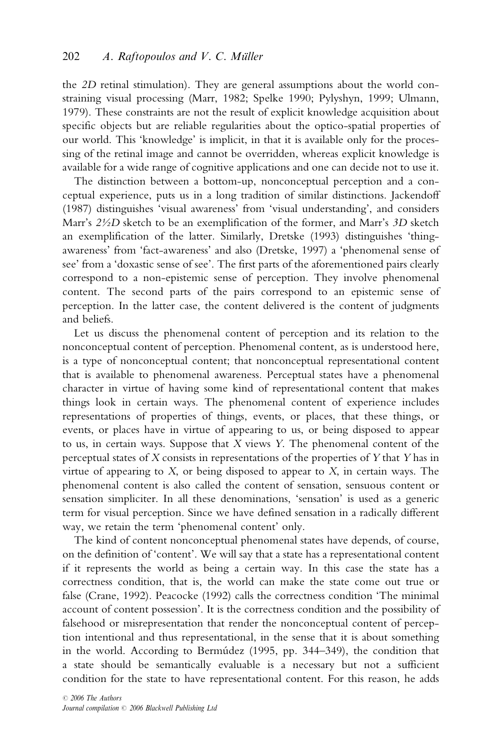the 2D retinal stimulation). They are general assumptions about the world constraining visual processing (Marr, 1982; Spelke 1990; Pylyshyn, 1999; Ulmann, 1979). These constraints are not the result of explicit knowledge acquisition about specific objects but are reliable regularities about the optico-spatial properties of our world. This 'knowledge' is implicit, in that it is available only for the processing of the retinal image and cannot be overridden, whereas explicit knowledge is available for a wide range of cognitive applications and one can decide not to use it.

The distinction between a bottom-up, nonconceptual perception and a conceptual experience, puts us in a long tradition of similar distinctions. Jackendoff (1987) distinguishes 'visual awareness' from 'visual understanding', and considers Marr's 2½D sketch to be an exemplification of the former, and Marr's 3D sketch an exemplification of the latter. Similarly, Dretske (1993) distinguishes 'thingawareness' from 'fact-awareness' and also (Dretske, 1997) a 'phenomenal sense of see' from a 'doxastic sense of see'. The first parts of the aforementioned pairs clearly correspond to a non-epistemic sense of perception. They involve phenomenal content. The second parts of the pairs correspond to an epistemic sense of perception. In the latter case, the content delivered is the content of judgments and beliefs.

Let us discuss the phenomenal content of perception and its relation to the nonconceptual content of perception. Phenomenal content, as is understood here, is a type of nonconceptual content; that nonconceptual representational content that is available to phenomenal awareness. Perceptual states have a phenomenal character in virtue of having some kind of representational content that makes things look in certain ways. The phenomenal content of experience includes representations of properties of things, events, or places, that these things, or events, or places have in virtue of appearing to us, or being disposed to appear to us, in certain ways. Suppose that  $X$  views  $Y$ . The phenomenal content of the perceptual states of X consists in representations of the properties of Y that Y has in virtue of appearing to  $X$ , or being disposed to appear to  $X$ , in certain ways. The phenomenal content is also called the content of sensation, sensuous content or sensation simpliciter. In all these denominations, 'sensation' is used as a generic term for visual perception. Since we have defined sensation in a radically different way, we retain the term 'phenomenal content' only.

The kind of content nonconceptual phenomenal states have depends, of course, on the definition of 'content'. We will say that a state has a representational content if it represents the world as being a certain way. In this case the state has a correctness condition, that is, the world can make the state come out true or false (Crane, 1992). Peacocke (1992) calls the correctness condition 'The minimal account of content possession'. It is the correctness condition and the possibility of falsehood or misrepresentation that render the nonconceptual content of perception intentional and thus representational, in the sense that it is about something in the world. According to Bermu´dez  $(1995, pp. 344–349)$ , the condition that a state should be semantically evaluable is a necessary but not a sufficient condition for the state to have representational content. For this reason, he adds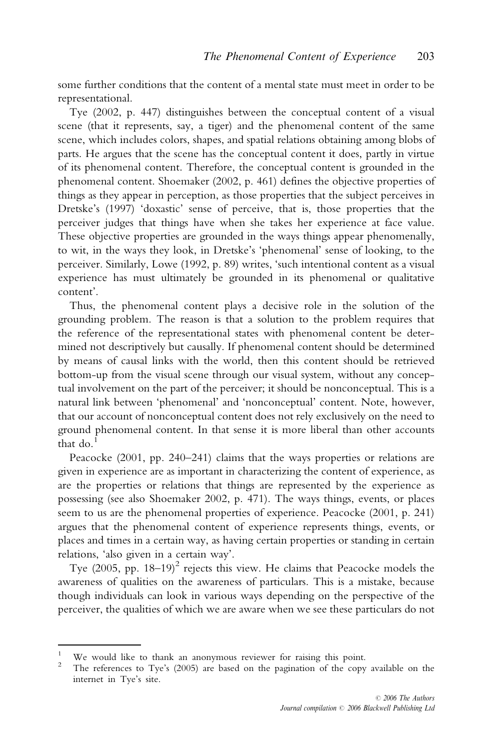some further conditions that the content of a mental state must meet in order to be representational.

Tye (2002, p. 447) distinguishes between the conceptual content of a visual scene (that it represents, say, a tiger) and the phenomenal content of the same scene, which includes colors, shapes, and spatial relations obtaining among blobs of parts. He argues that the scene has the conceptual content it does, partly in virtue of its phenomenal content. Therefore, the conceptual content is grounded in the phenomenal content. Shoemaker (2002, p. 461) defines the objective properties of things as they appear in perception, as those properties that the subject perceives in Dretske's (1997) 'doxastic' sense of perceive, that is, those properties that the perceiver judges that things have when she takes her experience at face value. These objective properties are grounded in the ways things appear phenomenally, to wit, in the ways they look, in Dretske's 'phenomenal' sense of looking, to the perceiver. Similarly, Lowe (1992, p. 89) writes, 'such intentional content as a visual experience has must ultimately be grounded in its phenomenal or qualitative content'.

Thus, the phenomenal content plays a decisive role in the solution of the grounding problem. The reason is that a solution to the problem requires that the reference of the representational states with phenomenal content be determined not descriptively but causally. If phenomenal content should be determined by means of causal links with the world, then this content should be retrieved bottom-up from the visual scene through our visual system, without any conceptual involvement on the part of the perceiver; it should be nonconceptual. This is a natural link between 'phenomenal' and 'nonconceptual' content. Note, however, that our account of nonconceptual content does not rely exclusively on the need to ground phenomenal content. In that sense it is more liberal than other accounts that do $^1$ 

Peacocke (2001, pp. 240–241) claims that the ways properties or relations are given in experience are as important in characterizing the content of experience, as are the properties or relations that things are represented by the experience as possessing (see also Shoemaker 2002, p. 471). The ways things, events, or places seem to us are the phenomenal properties of experience. Peacocke (2001, p. 241) argues that the phenomenal content of experience represents things, events, or places and times in a certain way, as having certain properties or standing in certain relations, 'also given in a certain way'.

Tye (2005, pp.  $18-19$ )<sup>2</sup> rejects this view. He claims that Peacocke models the awareness of qualities on the awareness of particulars. This is a mistake, because though individuals can look in various ways depending on the perspective of the perceiver, the qualities of which we are aware when we see these particulars do not

We would like to thank an anonymous reviewer for raising this point.<br>The references to Tye's (2005) are based on the pagination of the copy available on the internet in Tye's site.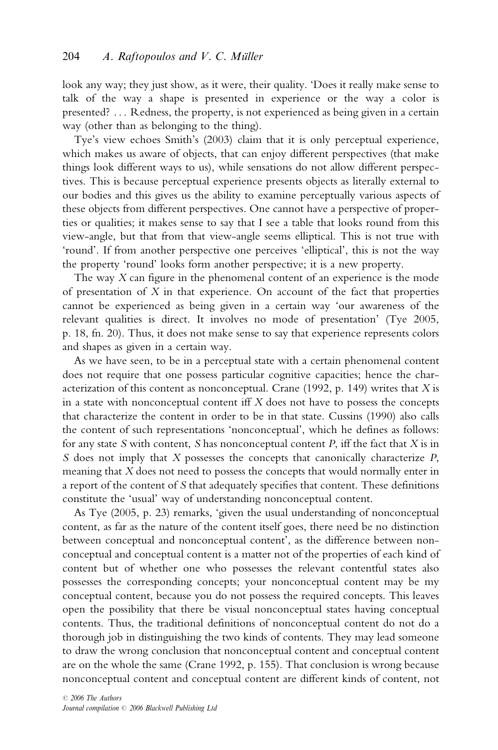look any way; they just show, as it were, their quality. 'Does it really make sense to talk of the way a shape is presented in experience or the way a color is presented? . . . Redness, the property, is not experienced as being given in a certain way (other than as belonging to the thing).

Tye's view echoes Smith's (2003) claim that it is only perceptual experience, which makes us aware of objects, that can enjoy different perspectives (that make things look different ways to us), while sensations do not allow different perspectives. This is because perceptual experience presents objects as literally external to our bodies and this gives us the ability to examine perceptually various aspects of these objects from different perspectives. One cannot have a perspective of properties or qualities; it makes sense to say that I see a table that looks round from this view-angle, but that from that view-angle seems elliptical. This is not true with 'round'. If from another perspective one perceives 'elliptical', this is not the way the property 'round' looks form another perspective; it is a new property.

The way  $X$  can figure in the phenomenal content of an experience is the mode of presentation of  $X$  in that experience. On account of the fact that properties cannot be experienced as being given in a certain way 'our awareness of the relevant qualities is direct. It involves no mode of presentation' (Tye 2005, p. 18, fn. 20). Thus, it does not make sense to say that experience represents colors and shapes as given in a certain way.

As we have seen, to be in a perceptual state with a certain phenomenal content does not require that one possess particular cognitive capacities; hence the characterization of this content as nonconceptual. Crane (1992, p. 149) writes that X is in a state with nonconceptual content iff  $X$  does not have to possess the concepts that characterize the content in order to be in that state. Cussins (1990) also calls the content of such representations 'nonconceptual', which he defines as follows: for any state S with content, S has nonconceptual content  $P$ , iff the fact that  $X$  is in  $S$  does not imply that  $X$  possesses the concepts that canonically characterize  $P$ , meaning that X does not need to possess the concepts that would normally enter in a report of the content of S that adequately specifies that content. These definitions constitute the 'usual' way of understanding nonconceptual content.

As Tye (2005, p. 23) remarks, 'given the usual understanding of nonconceptual content, as far as the nature of the content itself goes, there need be no distinction between conceptual and nonconceptual content', as the difference between nonconceptual and conceptual content is a matter not of the properties of each kind of content but of whether one who possesses the relevant contentful states also possesses the corresponding concepts; your nonconceptual content may be my conceptual content, because you do not possess the required concepts. This leaves open the possibility that there be visual nonconceptual states having conceptual contents. Thus, the traditional definitions of nonconceptual content do not do a thorough job in distinguishing the two kinds of contents. They may lead someone to draw the wrong conclusion that nonconceptual content and conceptual content are on the whole the same (Crane 1992, p. 155). That conclusion is wrong because nonconceptual content and conceptual content are different kinds of content, not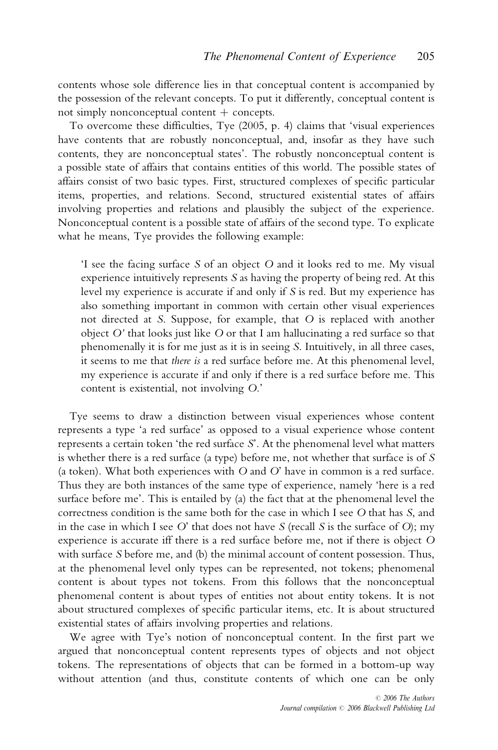contents whose sole difference lies in that conceptual content is accompanied by the possession of the relevant concepts. To put it differently, conceptual content is not simply nonconceptual content  $+$  concepts.

To overcome these difficulties, Tye (2005, p. 4) claims that 'visual experiences have contents that are robustly nonconceptual, and, insofar as they have such contents, they are nonconceptual states'. The robustly nonconceptual content is a possible state of affairs that contains entities of this world. The possible states of affairs consist of two basic types. First, structured complexes of specific particular items, properties, and relations. Second, structured existential states of affairs involving properties and relations and plausibly the subject of the experience. Nonconceptual content is a possible state of affairs of the second type. To explicate what he means, Tye provides the following example:

'I see the facing surface S of an object O and it looks red to me. My visual experience intuitively represents S as having the property of being red. At this level my experience is accurate if and only if S is red. But my experience has also something important in common with certain other visual experiences not directed at S. Suppose, for example, that O is replaced with another object O' that looks just like O or that I am hallucinating a red surface so that phenomenally it is for me just as it is in seeing S. Intuitively, in all three cases, it seems to me that there is a red surface before me. At this phenomenal level, my experience is accurate if and only if there is a red surface before me. This content is existential, not involving O.'

Tye seems to draw a distinction between visual experiences whose content represents a type 'a red surface' as opposed to a visual experience whose content represents a certain token 'the red surface  $S'$ . At the phenomenal level what matters is whether there is a red surface (a type) before me, not whether that surface is of S (a token). What both experiences with O and O' have in common is a red surface. Thus they are both instances of the same type of experience, namely 'here is a red surface before me'. This is entailed by (a) the fact that at the phenomenal level the correctness condition is the same both for the case in which I see O that has S, and in the case in which I see  $O'$  that does not have  $S$  (recall  $S$  is the surface of  $O$ ); my experience is accurate iff there is a red surface before me, not if there is object O with surface S before me, and (b) the minimal account of content possession. Thus, at the phenomenal level only types can be represented, not tokens; phenomenal content is about types not tokens. From this follows that the nonconceptual phenomenal content is about types of entities not about entity tokens. It is not about structured complexes of specific particular items, etc. It is about structured existential states of affairs involving properties and relations.

We agree with Tye's notion of nonconceptual content. In the first part we argued that nonconceptual content represents types of objects and not object tokens. The representations of objects that can be formed in a bottom-up way without attention (and thus, constitute contents of which one can be only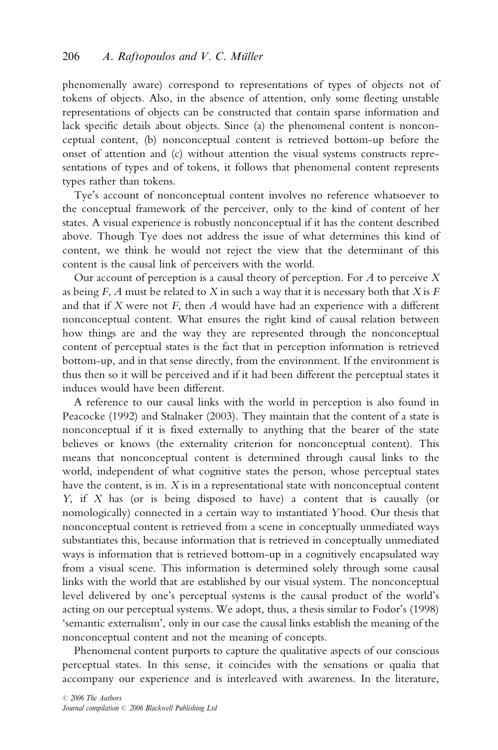phenomenally aware) correspond to representations of types of objects not of tokens of objects. Also, in the absence of attention, only some fleeting unstable representations of objects can be constructed that contain sparse information and lack specific details about objects. Since (a) the phenomenal content is nonconceptual content, (b) nonconceptual content is retrieved bottom-up before the onset of attention and (c) without attention the visual systems constructs representations of types and of tokens, it follows that phenomenal content represents types rather than tokens.

Tye's account of nonconceptual content involves no reference whatsoever to the conceptual framework of the perceiver, only to the kind of content of her states. A visual experience is robustly nonconceptual if it has the content described above. Though Tye does not address the issue of what determines this kind of content, we think he would not reject the view that the determinant of this content is the causal link of perceivers with the world.

Our account of perception is a causal theory of perception. For  $A$  to perceive  $X$ as being F, A must be related to X in such a way that it is necessary both that X is F and that if  $X$  were not  $F$ , then  $A$  would have had an experience with a different nonconceptual content. What ensures the right kind of causal relation between how things are and the way they are represented through the nonconceptual content of perceptual states is the fact that in perception information is retrieved bottom-up, and in that sense directly, from the environment. If the environment is thus then so it will be perceived and if it had been different the perceptual states it induces would have been different.

A reference to our causal links with the world in perception is also found in Peacocke (1992) and Stalnaker (2003). They maintain that the content of a state is nonconceptual if it is fixed externally to anything that the bearer of the state believes or knows (the externality criterion for nonconceptual content). This means that nonconceptual content is determined through causal links to the world, independent of what cognitive states the person, whose perceptual states have the content, is in. X is in a representational state with nonconceptual content Y, if X has (or is being disposed to have) a content that is causally (or nomologically) connected in a certain way to instantiated Y hood. Our thesis that nonconceptual content is retrieved from a scene in conceptually unmediated ways substantiates this, because information that is retrieved in conceptually unmediated ways is information that is retrieved bottom-up in a cognitively encapsulated way from a visual scene. This information is determined solely through some causal links with the world that are established by our visual system. The nonconceptual level delivered by one's perceptual systems is the causal product of the world's acting on our perceptual systems. We adopt, thus, a thesis similar to Fodor's (1998) 'semantic externalism', only in our case the causal links establish the meaning of the nonconceptual content and not the meaning of concepts.

Phenomenal content purports to capture the qualitative aspects of our conscious perceptual states. In this sense, it coincides with the sensations or qualia that accompany our experience and is interleaved with awareness. In the literature,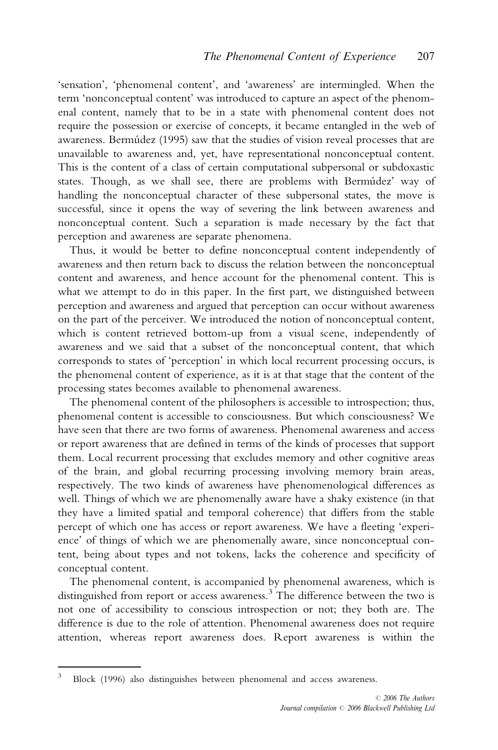'sensation', 'phenomenal content', and 'awareness' are intermingled. When the term 'nonconceptual content' was introduced to capture an aspect of the phenomenal content, namely that to be in a state with phenomenal content does not require the possession or exercise of concepts, it became entangled in the web of awareness. Bermúdez (1995) saw that the studies of vision reveal processes that are unavailable to awareness and, yet, have representational nonconceptual content. This is the content of a class of certain computational subpersonal or subdoxastic states. Though, as we shall see, there are problems with Bermúdez' way of handling the nonconceptual character of these subpersonal states, the move is successful, since it opens the way of severing the link between awareness and nonconceptual content. Such a separation is made necessary by the fact that perception and awareness are separate phenomena.

Thus, it would be better to define nonconceptual content independently of awareness and then return back to discuss the relation between the nonconceptual content and awareness, and hence account for the phenomenal content. This is what we attempt to do in this paper. In the first part, we distinguished between perception and awareness and argued that perception can occur without awareness on the part of the perceiver. We introduced the notion of nonconceptual content, which is content retrieved bottom-up from a visual scene, independently of awareness and we said that a subset of the nonconceptual content, that which corresponds to states of 'perception' in which local recurrent processing occurs, is the phenomenal content of experience, as it is at that stage that the content of the processing states becomes available to phenomenal awareness.

The phenomenal content of the philosophers is accessible to introspection; thus, phenomenal content is accessible to consciousness. But which consciousness? We have seen that there are two forms of awareness. Phenomenal awareness and access or report awareness that are defined in terms of the kinds of processes that support them. Local recurrent processing that excludes memory and other cognitive areas of the brain, and global recurring processing involving memory brain areas, respectively. The two kinds of awareness have phenomenological differences as well. Things of which we are phenomenally aware have a shaky existence (in that they have a limited spatial and temporal coherence) that differs from the stable percept of which one has access or report awareness. We have a fleeting 'experience' of things of which we are phenomenally aware, since nonconceptual content, being about types and not tokens, lacks the coherence and specificity of conceptual content.

The phenomenal content, is accompanied by phenomenal awareness, which is distinguished from report or access awareness.<sup>3</sup> The difference between the two is not one of accessibility to conscious introspection or not; they both are. The difference is due to the role of attention. Phenomenal awareness does not require attention, whereas report awareness does. Report awareness is within the

<sup>3</sup> Block (1996) also distinguishes between phenomenal and access awareness.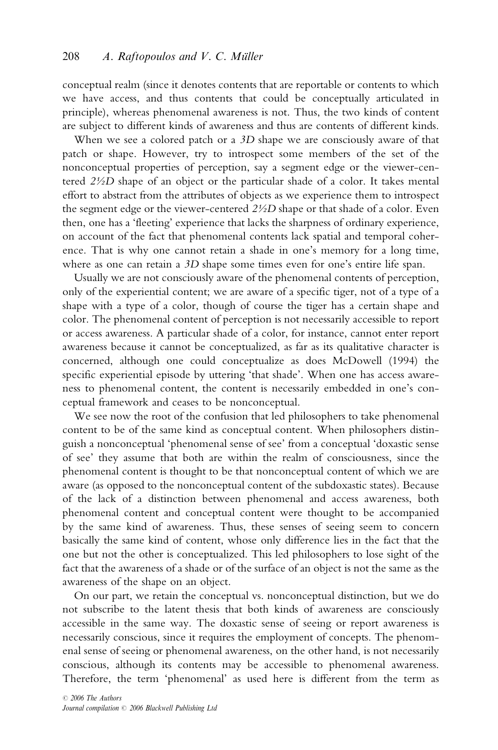conceptual realm (since it denotes contents that are reportable or contents to which we have access, and thus contents that could be conceptually articulated in principle), whereas phenomenal awareness is not. Thus, the two kinds of content are subject to different kinds of awareness and thus are contents of different kinds.

When we see a colored patch or a 3D shape we are consciously aware of that patch or shape. However, try to introspect some members of the set of the nonconceptual properties of perception, say a segment edge or the viewer-centered 2½D shape of an object or the particular shade of a color. It takes mental effort to abstract from the attributes of objects as we experience them to introspect the segment edge or the viewer-centered  $2\frac{1}{2}$  shape or that shade of a color. Even then, one has a 'fleeting' experience that lacks the sharpness of ordinary experience, on account of the fact that phenomenal contents lack spatial and temporal coherence. That is why one cannot retain a shade in one's memory for a long time, where as one can retain a 3D shape some times even for one's entire life span.

Usually we are not consciously aware of the phenomenal contents of perception, only of the experiential content; we are aware of a specific tiger, not of a type of a shape with a type of a color, though of course the tiger has a certain shape and color. The phenomenal content of perception is not necessarily accessible to report or access awareness. A particular shade of a color, for instance, cannot enter report awareness because it cannot be conceptualized, as far as its qualitative character is concerned, although one could conceptualize as does McDowell (1994) the specific experiential episode by uttering 'that shade'. When one has access awareness to phenomenal content, the content is necessarily embedded in one's conceptual framework and ceases to be nonconceptual.

We see now the root of the confusion that led philosophers to take phenomenal content to be of the same kind as conceptual content. When philosophers distinguish a nonconceptual 'phenomenal sense of see' from a conceptual 'doxastic sense of see' they assume that both are within the realm of consciousness, since the phenomenal content is thought to be that nonconceptual content of which we are aware (as opposed to the nonconceptual content of the subdoxastic states). Because of the lack of a distinction between phenomenal and access awareness, both phenomenal content and conceptual content were thought to be accompanied by the same kind of awareness. Thus, these senses of seeing seem to concern basically the same kind of content, whose only difference lies in the fact that the one but not the other is conceptualized. This led philosophers to lose sight of the fact that the awareness of a shade or of the surface of an object is not the same as the awareness of the shape on an object.

On our part, we retain the conceptual vs. nonconceptual distinction, but we do not subscribe to the latent thesis that both kinds of awareness are consciously accessible in the same way. The doxastic sense of seeing or report awareness is necessarily conscious, since it requires the employment of concepts. The phenomenal sense of seeing or phenomenal awareness, on the other hand, is not necessarily conscious, although its contents may be accessible to phenomenal awareness. Therefore, the term 'phenomenal' as used here is different from the term as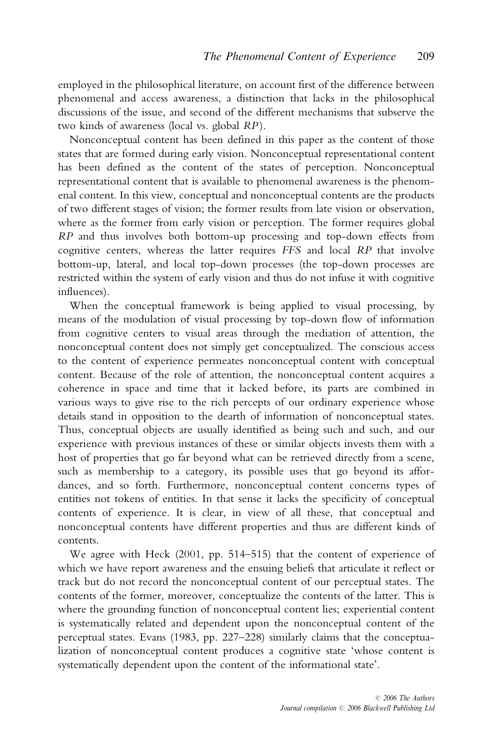employed in the philosophical literature, on account first of the difference between phenomenal and access awareness, a distinction that lacks in the philosophical discussions of the issue, and second of the different mechanisms that subserve the two kinds of awareness (local vs. global RP).

Nonconceptual content has been defined in this paper as the content of those states that are formed during early vision. Nonconceptual representational content has been defined as the content of the states of perception. Nonconceptual representational content that is available to phenomenal awareness is the phenomenal content. In this view, conceptual and nonconceptual contents are the products of two different stages of vision; the former results from late vision or observation, where as the former from early vision or perception. The former requires global RP and thus involves both bottom-up processing and top-down effects from cognitive centers, whereas the latter requires FFS and local RP that involve bottom-up, lateral, and local top-down processes (the top-down processes are restricted within the system of early vision and thus do not infuse it with cognitive influences).

When the conceptual framework is being applied to visual processing, by means of the modulation of visual processing by top-down flow of information from cognitive centers to visual areas through the mediation of attention, the nonconceptual content does not simply get conceptualized. The conscious access to the content of experience permeates nonconceptual content with conceptual content. Because of the role of attention, the nonconceptual content acquires a coherence in space and time that it lacked before, its parts are combined in various ways to give rise to the rich percepts of our ordinary experience whose details stand in opposition to the dearth of information of nonconceptual states. Thus, conceptual objects are usually identified as being such and such, and our experience with previous instances of these or similar objects invests them with a host of properties that go far beyond what can be retrieved directly from a scene, such as membership to a category, its possible uses that go beyond its affordances, and so forth. Furthermore, nonconceptual content concerns types of entities not tokens of entities. In that sense it lacks the specificity of conceptual contents of experience. It is clear, in view of all these, that conceptual and nonconceptual contents have different properties and thus are different kinds of contents.

We agree with Heck (2001, pp. 514–515) that the content of experience of which we have report awareness and the ensuing beliefs that articulate it reflect or track but do not record the nonconceptual content of our perceptual states. The contents of the former, moreover, conceptualize the contents of the latter. This is where the grounding function of nonconceptual content lies; experiential content is systematically related and dependent upon the nonconceptual content of the perceptual states. Evans (1983, pp. 227–228) similarly claims that the conceptualization of nonconceptual content produces a cognitive state 'whose content is systematically dependent upon the content of the informational state'.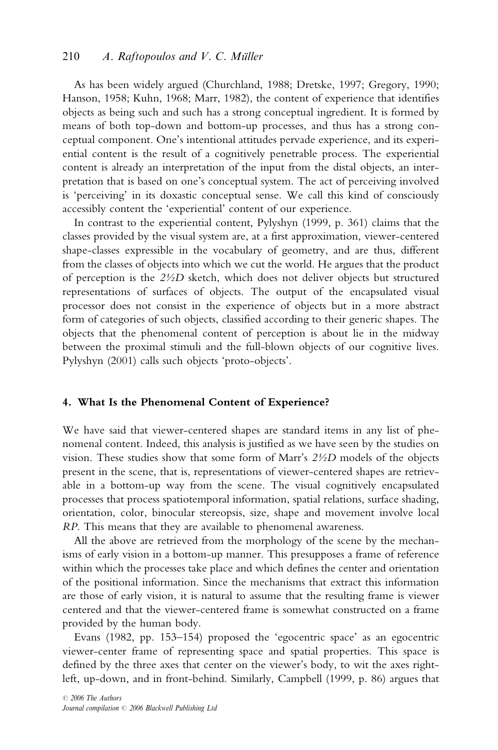## $210$  A. Raftopoulos and V. C. Müller

As has been widely argued (Churchland, 1988; Dretske, 1997; Gregory, 1990; Hanson, 1958; Kuhn, 1968; Marr, 1982), the content of experience that identifies objects as being such and such has a strong conceptual ingredient. It is formed by means of both top-down and bottom-up processes, and thus has a strong conceptual component. One's intentional attitudes pervade experience, and its experiential content is the result of a cognitively penetrable process. The experiential content is already an interpretation of the input from the distal objects, an interpretation that is based on one's conceptual system. The act of perceiving involved is 'perceiving' in its doxastic conceptual sense. We call this kind of consciously accessibly content the 'experiential' content of our experience.

In contrast to the experiential content, Pylyshyn (1999, p. 361) claims that the classes provided by the visual system are, at a first approximation, viewer-centered shape-classes expressible in the vocabulary of geometry, and are thus, different from the classes of objects into which we cut the world. He argues that the product of perception is the  $2\frac{1}{2}$  sketch, which does not deliver objects but structured representations of surfaces of objects. The output of the encapsulated visual processor does not consist in the experience of objects but in a more abstract form of categories of such objects, classified according to their generic shapes. The objects that the phenomenal content of perception is about lie in the midway between the proximal stimuli and the full-blown objects of our cognitive lives. Pylyshyn (2001) calls such objects 'proto-objects'.

#### 4. What Is the Phenomenal Content of Experience?

We have said that viewer-centered shapes are standard items in any list of phenomenal content. Indeed, this analysis is justified as we have seen by the studies on vision. These studies show that some form of Marr's 2½D models of the objects present in the scene, that is, representations of viewer-centered shapes are retrievable in a bottom-up way from the scene. The visual cognitively encapsulated processes that process spatiotemporal information, spatial relations, surface shading, orientation, color, binocular stereopsis, size, shape and movement involve local RP. This means that they are available to phenomenal awareness.

All the above are retrieved from the morphology of the scene by the mechanisms of early vision in a bottom-up manner. This presupposes a frame of reference within which the processes take place and which defines the center and orientation of the positional information. Since the mechanisms that extract this information are those of early vision, it is natural to assume that the resulting frame is viewer centered and that the viewer-centered frame is somewhat constructed on a frame provided by the human body.

Evans (1982, pp. 153–154) proposed the 'egocentric space' as an egocentric viewer-center frame of representing space and spatial properties. This space is defined by the three axes that center on the viewer's body, to wit the axes rightleft, up-down, and in front-behind. Similarly, Campbell (1999, p. 86) argues that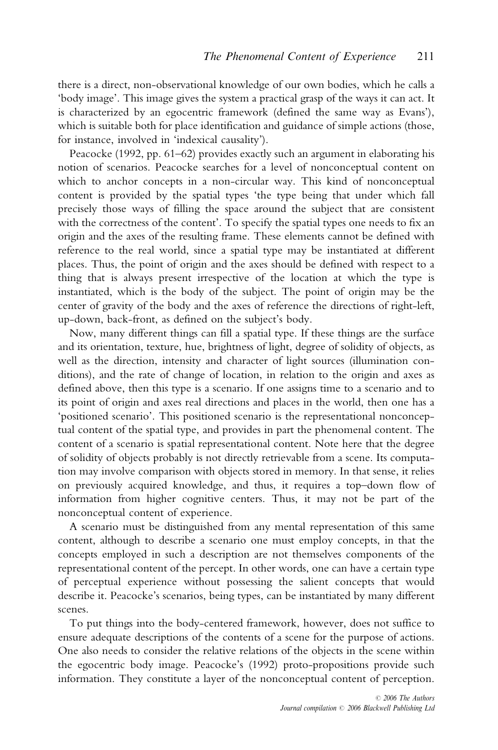there is a direct, non-observational knowledge of our own bodies, which he calls a 'body image'. This image gives the system a practical grasp of the ways it can act. It is characterized by an egocentric framework (defined the same way as Evans'), which is suitable both for place identification and guidance of simple actions (those, for instance, involved in 'indexical causality').

Peacocke (1992, pp. 61–62) provides exactly such an argument in elaborating his notion of scenarios. Peacocke searches for a level of nonconceptual content on which to anchor concepts in a non-circular way. This kind of nonconceptual content is provided by the spatial types 'the type being that under which fall precisely those ways of filling the space around the subject that are consistent with the correctness of the content'. To specify the spatial types one needs to fix an origin and the axes of the resulting frame. These elements cannot be defined with reference to the real world, since a spatial type may be instantiated at different places. Thus, the point of origin and the axes should be defined with respect to a thing that is always present irrespective of the location at which the type is instantiated, which is the body of the subject. The point of origin may be the center of gravity of the body and the axes of reference the directions of right-left, up-down, back-front, as defined on the subject's body.

Now, many different things can fill a spatial type. If these things are the surface and its orientation, texture, hue, brightness of light, degree of solidity of objects, as well as the direction, intensity and character of light sources (illumination conditions), and the rate of change of location, in relation to the origin and axes as defined above, then this type is a scenario. If one assigns time to a scenario and to its point of origin and axes real directions and places in the world, then one has a 'positioned scenario'. This positioned scenario is the representational nonconceptual content of the spatial type, and provides in part the phenomenal content. The content of a scenario is spatial representational content. Note here that the degree of solidity of objects probably is not directly retrievable from a scene. Its computation may involve comparison with objects stored in memory. In that sense, it relies on previously acquired knowledge, and thus, it requires a top–down flow of information from higher cognitive centers. Thus, it may not be part of the nonconceptual content of experience.

A scenario must be distinguished from any mental representation of this same content, although to describe a scenario one must employ concepts, in that the concepts employed in such a description are not themselves components of the representational content of the percept. In other words, one can have a certain type of perceptual experience without possessing the salient concepts that would describe it. Peacocke's scenarios, being types, can be instantiated by many different scenes.

To put things into the body-centered framework, however, does not suffice to ensure adequate descriptions of the contents of a scene for the purpose of actions. One also needs to consider the relative relations of the objects in the scene within the egocentric body image. Peacocke's (1992) proto-propositions provide such information. They constitute a layer of the nonconceptual content of perception.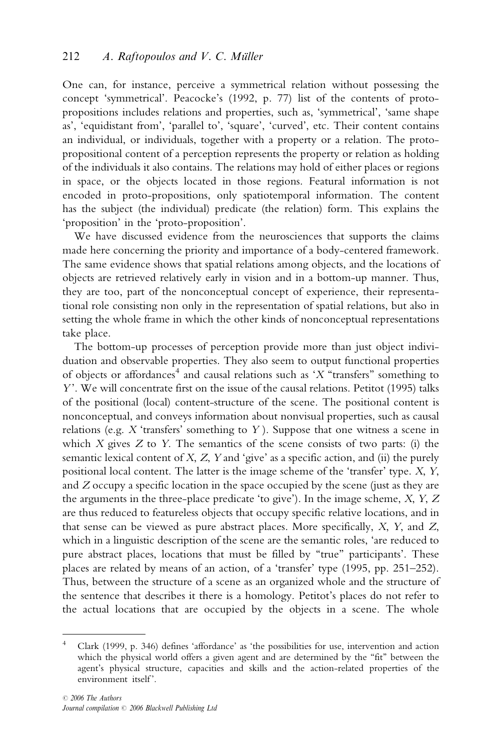One can, for instance, perceive a symmetrical relation without possessing the concept 'symmetrical'. Peacocke's (1992, p. 77) list of the contents of protopropositions includes relations and properties, such as, 'symmetrical', 'same shape as', 'equidistant from', 'parallel to', 'square', 'curved', etc. Their content contains an individual, or individuals, together with a property or a relation. The protopropositional content of a perception represents the property or relation as holding of the individuals it also contains. The relations may hold of either places or regions in space, or the objects located in those regions. Featural information is not encoded in proto-propositions, only spatiotemporal information. The content has the subject (the individual) predicate (the relation) form. This explains the 'proposition' in the 'proto-proposition'.

We have discussed evidence from the neurosciences that supports the claims made here concerning the priority and importance of a body-centered framework. The same evidence shows that spatial relations among objects, and the locations of objects are retrieved relatively early in vision and in a bottom-up manner. Thus, they are too, part of the nonconceptual concept of experience, their representational role consisting non only in the representation of spatial relations, but also in setting the whole frame in which the other kinds of nonconceptual representations take place.

The bottom-up processes of perception provide more than just object individuation and observable properties. They also seem to output functional properties of objects or affordances<sup>4</sup> and causal relations such as 'X "transfers" something to Y'. We will concentrate first on the issue of the causal relations. Petitot (1995) talks of the positional (local) content-structure of the scene. The positional content is nonconceptual, and conveys information about nonvisual properties, such as causal relations (e.g.  $X$  'transfers' something to  $Y$ ). Suppose that one witness a scene in which  $X$  gives  $Z$  to  $Y$ . The semantics of the scene consists of two parts: (i) the semantic lexical content of  $X$ ,  $Z$ ,  $Y$  and 'give' as a specific action, and (ii) the purely positional local content. The latter is the image scheme of the 'transfer' type. X, Y, and Z occupy a specific location in the space occupied by the scene (just as they are the arguments in the three-place predicate 'to give'). In the image scheme, X, Y, Z are thus reduced to featureless objects that occupy specific relative locations, and in that sense can be viewed as pure abstract places. More specifically, X, Y, and Z, which in a linguistic description of the scene are the semantic roles, 'are reduced to pure abstract places, locations that must be filled by ''true'' participants'. These places are related by means of an action, of a 'transfer' type (1995, pp. 251–252). Thus, between the structure of a scene as an organized whole and the structure of the sentence that describes it there is a homology. Petitot's places do not refer to the actual locations that are occupied by the objects in a scene. The whole

<sup>4</sup> Clark (1999, p. 346) defines 'affordance' as 'the possibilities for use, intervention and action which the physical world offers a given agent and are determined by the ''fit'' between the agent's physical structure, capacities and skills and the action-related properties of the environment itself'.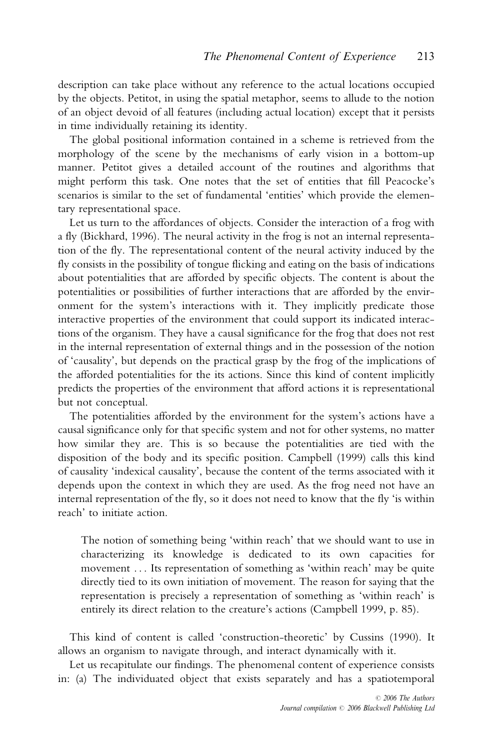description can take place without any reference to the actual locations occupied by the objects. Petitot, in using the spatial metaphor, seems to allude to the notion of an object devoid of all features (including actual location) except that it persists in time individually retaining its identity.

The global positional information contained in a scheme is retrieved from the morphology of the scene by the mechanisms of early vision in a bottom-up manner. Petitot gives a detailed account of the routines and algorithms that might perform this task. One notes that the set of entities that fill Peacocke's scenarios is similar to the set of fundamental 'entities' which provide the elementary representational space.

Let us turn to the affordances of objects. Consider the interaction of a frog with a fly (Bickhard, 1996). The neural activity in the frog is not an internal representation of the fly. The representational content of the neural activity induced by the fly consists in the possibility of tongue flicking and eating on the basis of indications about potentialities that are afforded by specific objects. The content is about the potentialities or possibilities of further interactions that are afforded by the environment for the system's interactions with it. They implicitly predicate those interactive properties of the environment that could support its indicated interactions of the organism. They have a causal significance for the frog that does not rest in the internal representation of external things and in the possession of the notion of 'causality', but depends on the practical grasp by the frog of the implications of the afforded potentialities for the its actions. Since this kind of content implicitly predicts the properties of the environment that afford actions it is representational but not conceptual.

The potentialities afforded by the environment for the system's actions have a causal significance only for that specific system and not for other systems, no matter how similar they are. This is so because the potentialities are tied with the disposition of the body and its specific position. Campbell (1999) calls this kind of causality 'indexical causality', because the content of the terms associated with it depends upon the context in which they are used. As the frog need not have an internal representation of the fly, so it does not need to know that the fly 'is within reach' to initiate action.

The notion of something being 'within reach' that we should want to use in characterizing its knowledge is dedicated to its own capacities for movement . . . Its representation of something as 'within reach' may be quite directly tied to its own initiation of movement. The reason for saying that the representation is precisely a representation of something as 'within reach' is entirely its direct relation to the creature's actions (Campbell 1999, p. 85).

This kind of content is called 'construction-theoretic' by Cussins (1990). It allows an organism to navigate through, and interact dynamically with it.

Let us recapitulate our findings. The phenomenal content of experience consists in: (a) The individuated object that exists separately and has a spatiotemporal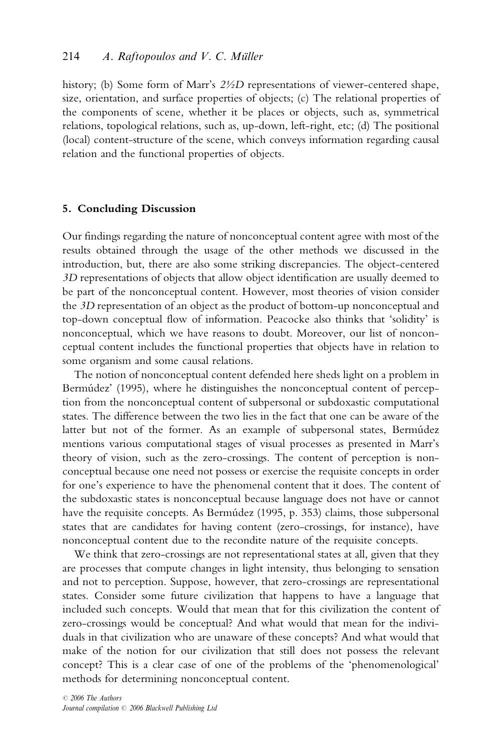history; (b) Some form of Marr's 2½D representations of viewer-centered shape, size, orientation, and surface properties of objects; (c) The relational properties of the components of scene, whether it be places or objects, such as, symmetrical relations, topological relations, such as, up-down, left-right, etc; (d) The positional (local) content-structure of the scene, which conveys information regarding causal relation and the functional properties of objects.

## 5. Concluding Discussion

Our findings regarding the nature of nonconceptual content agree with most of the results obtained through the usage of the other methods we discussed in the introduction, but, there are also some striking discrepancies. The object-centered 3D representations of objects that allow object identification are usually deemed to be part of the nonconceptual content. However, most theories of vision consider the 3D representation of an object as the product of bottom-up nonconceptual and top-down conceptual flow of information. Peacocke also thinks that 'solidity' is nonconceptual, which we have reasons to doubt. Moreover, our list of nonconceptual content includes the functional properties that objects have in relation to some organism and some causal relations.

The notion of nonconceptual content defended here sheds light on a problem in Bermúdez' (1995), where he distinguishes the nonconceptual content of perception from the nonconceptual content of subpersonal or subdoxastic computational states. The difference between the two lies in the fact that one can be aware of the latter but not of the former. As an example of subpersonal states, Bermúdez mentions various computational stages of visual processes as presented in Marr's theory of vision, such as the zero-crossings. The content of perception is nonconceptual because one need not possess or exercise the requisite concepts in order for one's experience to have the phenomenal content that it does. The content of the subdoxastic states is nonconceptual because language does not have or cannot have the requisite concepts. As Bermúdez (1995, p. 353) claims, those subpersonal states that are candidates for having content (zero-crossings, for instance), have nonconceptual content due to the recondite nature of the requisite concepts.

We think that zero-crossings are not representational states at all, given that they are processes that compute changes in light intensity, thus belonging to sensation and not to perception. Suppose, however, that zero-crossings are representational states. Consider some future civilization that happens to have a language that included such concepts. Would that mean that for this civilization the content of zero-crossings would be conceptual? And what would that mean for the individuals in that civilization who are unaware of these concepts? And what would that make of the notion for our civilization that still does not possess the relevant concept? This is a clear case of one of the problems of the 'phenomenological' methods for determining nonconceptual content.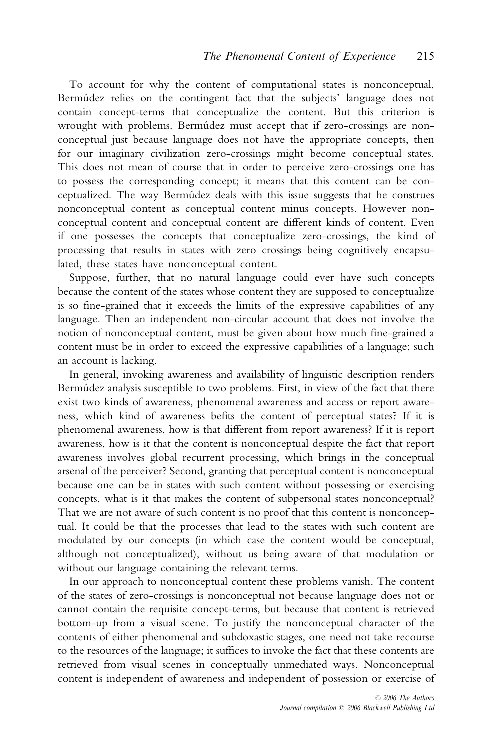To account for why the content of computational states is nonconceptual, Bermu´dez relies on the contingent fact that the subjects' language does not contain concept-terms that conceptualize the content. But this criterion is wrought with problems. Bermúdez must accept that if zero-crossings are nonconceptual just because language does not have the appropriate concepts, then for our imaginary civilization zero-crossings might become conceptual states. This does not mean of course that in order to perceive zero-crossings one has to possess the corresponding concept; it means that this content can be conceptualized. The way Bermu´dez deals with this issue suggests that he construes nonconceptual content as conceptual content minus concepts. However nonconceptual content and conceptual content are different kinds of content. Even if one possesses the concepts that conceptualize zero-crossings, the kind of processing that results in states with zero crossings being cognitively encapsulated, these states have nonconceptual content.

Suppose, further, that no natural language could ever have such concepts because the content of the states whose content they are supposed to conceptualize is so fine-grained that it exceeds the limits of the expressive capabilities of any language. Then an independent non-circular account that does not involve the notion of nonconceptual content, must be given about how much fine-grained a content must be in order to exceed the expressive capabilities of a language; such an account is lacking.

In general, invoking awareness and availability of linguistic description renders Bermúdez analysis susceptible to two problems. First, in view of the fact that there exist two kinds of awareness, phenomenal awareness and access or report awareness, which kind of awareness befits the content of perceptual states? If it is phenomenal awareness, how is that different from report awareness? If it is report awareness, how is it that the content is nonconceptual despite the fact that report awareness involves global recurrent processing, which brings in the conceptual arsenal of the perceiver? Second, granting that perceptual content is nonconceptual because one can be in states with such content without possessing or exercising concepts, what is it that makes the content of subpersonal states nonconceptual? That we are not aware of such content is no proof that this content is nonconceptual. It could be that the processes that lead to the states with such content are modulated by our concepts (in which case the content would be conceptual, although not conceptualized), without us being aware of that modulation or without our language containing the relevant terms.

In our approach to nonconceptual content these problems vanish. The content of the states of zero-crossings is nonconceptual not because language does not or cannot contain the requisite concept-terms, but because that content is retrieved bottom-up from a visual scene. To justify the nonconceptual character of the contents of either phenomenal and subdoxastic stages, one need not take recourse to the resources of the language; it suffices to invoke the fact that these contents are retrieved from visual scenes in conceptually unmediated ways. Nonconceptual content is independent of awareness and independent of possession or exercise of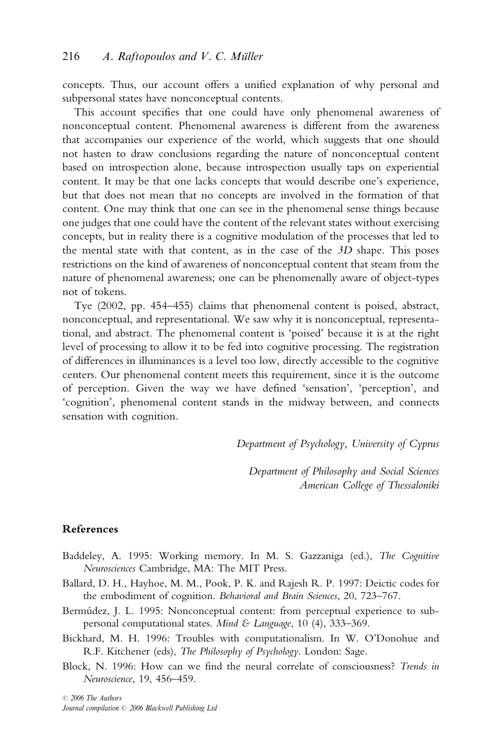concepts. Thus, our account offers a unified explanation of why personal and subpersonal states have nonconceptual contents.

This account specifies that one could have only phenomenal awareness of nonconceptual content. Phenomenal awareness is different from the awareness that accompanies our experience of the world, which suggests that one should not hasten to draw conclusions regarding the nature of nonconceptual content based on introspection alone, because introspection usually taps on experiential content. It may be that one lacks concepts that would describe one's experience, but that does not mean that no concepts are involved in the formation of that content. One may think that one can see in the phenomenal sense things because one judges that one could have the content of the relevant states without exercising concepts, but in reality there is a cognitive modulation of the processes that led to the mental state with that content, as in the case of the 3D shape. This poses restrictions on the kind of awareness of nonconceptual content that steam from the nature of phenomenal awareness; one can be phenomenally aware of object-types not of tokens.

Tye (2002, pp. 454–455) claims that phenomenal content is poised, abstract, nonconceptual, and representational. We saw why it is nonconceptual, representational, and abstract. The phenomenal content is 'poised' because it is at the right level of processing to allow it to be fed into cognitive processing. The registration of differences in illuminances is a level too low, directly accessible to the cognitive centers. Our phenomenal content meets this requirement, since it is the outcome of perception. Given the way we have defined 'sensation', 'perception', and 'cognition', phenomenal content stands in the midway between, and connects sensation with cognition.

Department of Psychology, University of Cyprus

Department of Philosophy and Social Sciences American College of Thessaloniki

## References

- Baddeley, A. 1995: Working memory. In M. S. Gazzaniga (ed.), The Cognitive Neurosciences Cambridge, MA: The MIT Press.
- Ballard, D. H., Hayhoe, M. M., Pook, P. K. and Rajesh R. P. 1997: Deictic codes for the embodiment of cognition. Behavioral and Brain Sciences, 20, 723–767.
- Bermúdez, J. L. 1995: Nonconceptual content: from perceptual experience to subpersonal computational states. Mind & Language, 10 (4), 333-369.
- Bickhard, M. H. 1996: Troubles with computationalism. In W. O'Donohue and R.F. Kitchener (eds), The Philosophy of Psychology. London: Sage.
- Block, N. 1996: How can we find the neural correlate of consciousness? Trends in Neuroscience, 19, 456–459.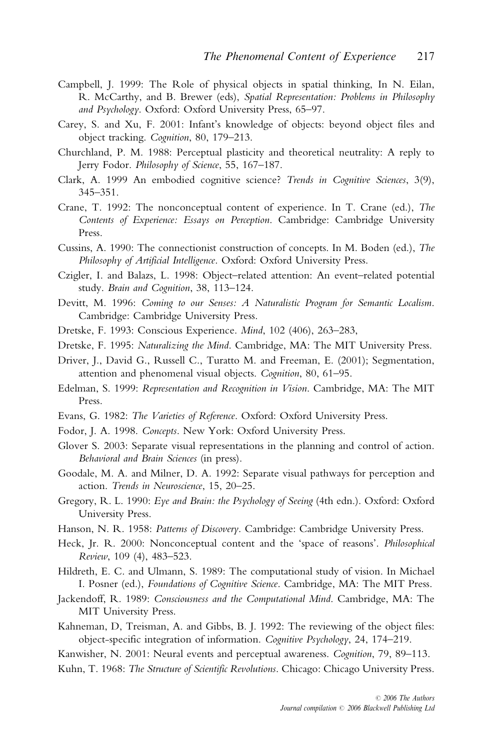- Campbell, J. 1999: The Role of physical objects in spatial thinking, In N. Eilan, R. McCarthy, and B. Brewer (eds), Spatial Representation: Problems in Philosophy and Psychology. Oxford: Oxford University Press, 65–97.
- Carey, S. and Xu, F. 2001: Infant's knowledge of objects: beyond object files and object tracking. Cognition, 80, 179–213.
- Churchland, P. M. 1988: Perceptual plasticity and theoretical neutrality: A reply to Jerry Fodor. Philosophy of Science, 55, 167–187.
- Clark, A. 1999 An embodied cognitive science? Trends in Cognitive Sciences, 3(9), 345–351.
- Crane, T. 1992: The nonconceptual content of experience. In T. Crane (ed.), The Contents of Experience: Essays on Perception. Cambridge: Cambridge University Press.
- Cussins, A. 1990: The connectionist construction of concepts. In M. Boden (ed.), The Philosophy of Artificial Intelligence. Oxford: Oxford University Press.
- Czigler, I. and Balazs, L. 1998: Object–related attention: An event–related potential study. Brain and Cognition, 38, 113–124.
- Devitt, M. 1996: Coming to our Senses: A Naturalistic Program for Semantic Localism. Cambridge: Cambridge University Press.
- Dretske, F. 1993: Conscious Experience. Mind, 102 (406), 263–283,
- Dretske, F. 1995: Naturalizing the Mind. Cambridge, MA: The MIT University Press.
- Driver, J., David G., Russell C., Turatto M. and Freeman, E. (2001); Segmentation, attention and phenomenal visual objects. Cognition, 80, 61–95.
- Edelman, S. 1999: Representation and Recognition in Vision. Cambridge, MA: The MIT Press.
- Evans, G. 1982: The Varieties of Reference. Oxford: Oxford University Press.
- Fodor, J. A. 1998. Concepts. New York: Oxford University Press.
- Glover S. 2003: Separate visual representations in the planning and control of action. Behavioral and Brain Sciences (in press).
- Goodale, M. A. and Milner, D. A. 1992: Separate visual pathways for perception and action. Trends in Neuroscience, 15, 20–25.
- Gregory, R. L. 1990: Eye and Brain: the Psychology of Seeing (4th edn.). Oxford: Oxford University Press.
- Hanson, N. R. 1958: Patterns of Discovery. Cambridge: Cambridge University Press.
- Heck, Jr. R. 2000: Nonconceptual content and the 'space of reasons'. Philosophical Review, 109 (4), 483–523.
- Hildreth, E. C. and Ulmann, S. 1989: The computational study of vision. In Michael I. Posner (ed.), Foundations of Cognitive Science. Cambridge, MA: The MIT Press.
- Jackendoff, R. 1989: Consciousness and the Computational Mind. Cambridge, MA: The MIT University Press.
- Kahneman, D, Treisman, A. and Gibbs, B. J. 1992: The reviewing of the object files: object-specific integration of information. Cognitive Psychology, 24, 174–219.
- Kanwisher, N. 2001: Neural events and perceptual awareness. Cognition, 79, 89–113.
- Kuhn, T. 1968: The Structure of Scientific Revolutions. Chicago: Chicago University Press.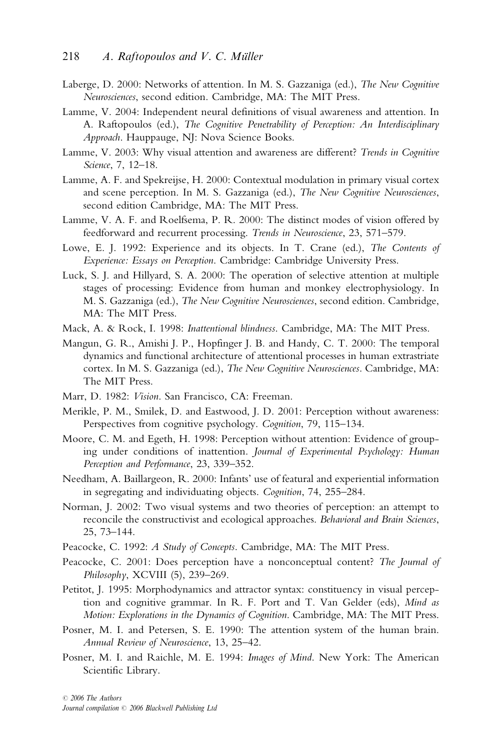- Laberge, D. 2000: Networks of attention. In M. S. Gazzaniga (ed.), The New Cognitive Neurosciences, second edition. Cambridge, MA: The MIT Press.
- Lamme, V. 2004: Independent neural definitions of visual awareness and attention. In A. Raftopoulos (ed.), The Cognitive Penetrability of Perception: An Interdisciplinary Approach. Hauppauge, NJ: Nova Science Books.
- Lamme, V. 2003: Why visual attention and awareness are different? Trends in Cognitive Science, 7, 12–18.
- Lamme, A. F. and Spekreijse, H. 2000: Contextual modulation in primary visual cortex and scene perception. In M. S. Gazzaniga (ed.), The New Cognitive Neurosciences, second edition Cambridge, MA: The MIT Press.
- Lamme, V. A. F. and Roelfsema, P. R. 2000: The distinct modes of vision offered by feedforward and recurrent processing. Trends in Neuroscience, 23, 571–579.
- Lowe, E. J. 1992: Experience and its objects. In T. Crane (ed.), The Contents of Experience: Essays on Perception. Cambridge: Cambridge University Press.
- Luck, S. J. and Hillyard, S. A. 2000: The operation of selective attention at multiple stages of processing: Evidence from human and monkey electrophysiology. In M. S. Gazzaniga (ed.), The New Cognitive Neurosciences, second edition. Cambridge, MA: The MIT Press.
- Mack, A. & Rock, I. 1998: Inattentional blindness. Cambridge, MA: The MIT Press.
- Mangun, G. R., Amishi J. P., Hopfinger J. B. and Handy, C. T. 2000: The temporal dynamics and functional architecture of attentional processes in human extrastriate cortex. In M. S. Gazzaniga (ed.), The New Cognitive Neurosciences. Cambridge, MA: The MIT Press.
- Marr, D. 1982: Vision. San Francisco, CA: Freeman.
- Merikle, P. M., Smilek, D. and Eastwood, J. D. 2001: Perception without awareness: Perspectives from cognitive psychology. Cognition, 79, 115–134.
- Moore, C. M. and Egeth, H. 1998: Perception without attention: Evidence of grouping under conditions of inattention. Journal of Experimental Psychology: Human Perception and Performance, 23, 339–352.
- Needham, A. Baillargeon, R. 2000: Infants' use of featural and experiential information in segregating and individuating objects. Cognition, 74, 255–284.
- Norman, J. 2002: Two visual systems and two theories of perception: an attempt to reconcile the constructivist and ecological approaches. Behavioral and Brain Sciences, 25, 73–144.
- Peacocke, C. 1992: A Study of Concepts. Cambridge, MA: The MIT Press.
- Peacocke, C. 2001: Does perception have a nonconceptual content? The Journal of Philosophy, XCVIII (5), 239-269.
- Petitot, J. 1995: Morphodynamics and attractor syntax: constituency in visual perception and cognitive grammar. In R. F. Port and T. Van Gelder (eds), Mind as Motion: Explorations in the Dynamics of Cognition. Cambridge, MA: The MIT Press.
- Posner, M. I. and Petersen, S. E. 1990: The attention system of the human brain. Annual Review of Neuroscience, 13, 25–42.
- Posner, M. I. and Raichle, M. E. 1994: Images of Mind. New York: The American Scientific Library.

 $\odot$  2006 The Authors Journal compilation  $\odot$  2006 Blackwell Publishing Ltd